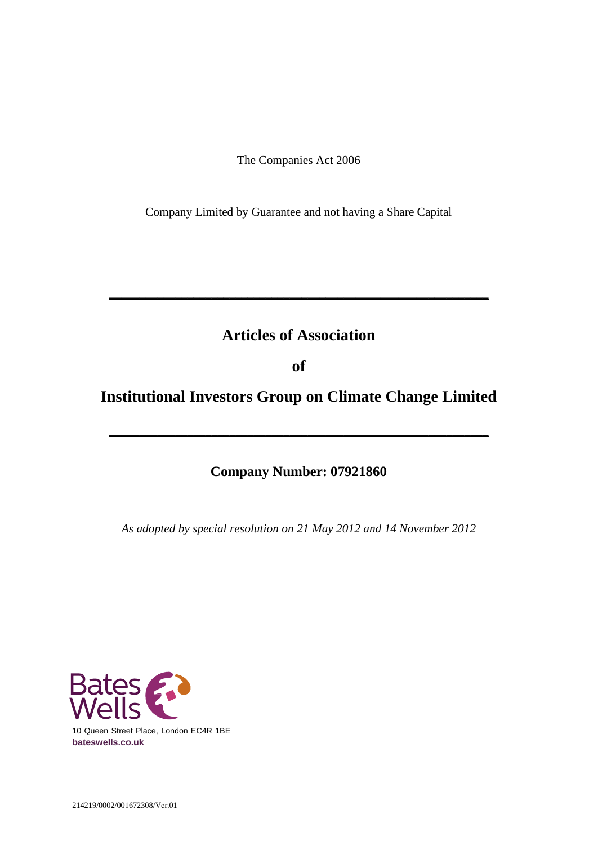The Companies Act 2006

Company Limited by Guarantee and not having a Share Capital

# **Articles of Association**

**\_\_\_\_\_\_\_\_\_\_\_\_\_\_\_\_\_\_\_\_\_\_\_\_\_\_\_\_\_\_\_\_\_\_\_\_\_\_\_\_\_\_\_\_\_\_\_\_\_\_\_\_\_\_\_\_\_\_\_\_\_\_\_**

**of**

**Institutional Investors Group on Climate Change Limited**

**\_\_\_\_\_\_\_\_\_\_\_\_\_\_\_\_\_\_\_\_\_\_\_\_\_\_\_\_\_\_\_\_\_\_\_\_\_\_\_\_\_\_\_\_\_\_\_\_\_\_\_\_\_\_\_\_\_\_\_\_\_\_\_**

# **Company Number: 07921860**

*As adopted by special resolution on 21 May 2012 and 14 November 2012*

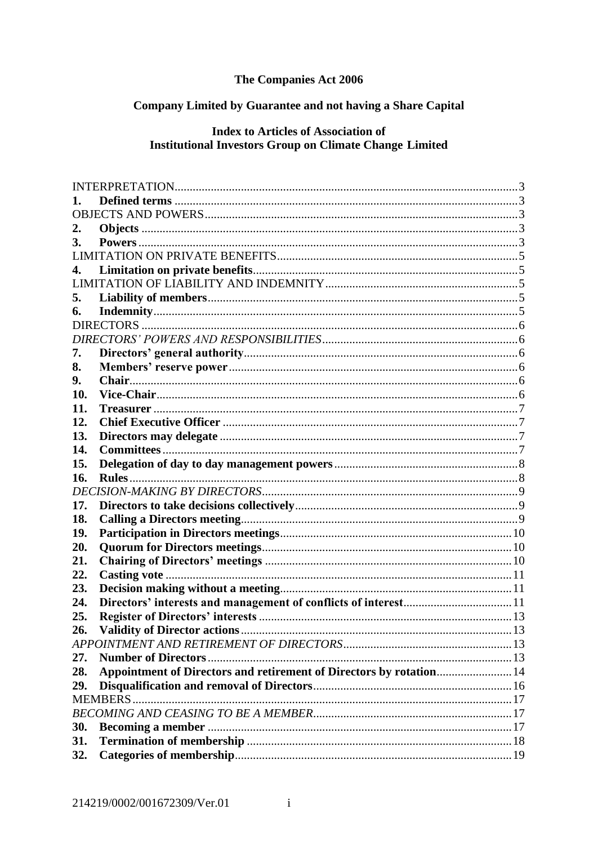# The Companies Act 2006

# Company Limited by Guarantee and not having a Share Capital

## **Index to Articles of Association of Institutional Investors Group on Climate Change Limited**

| 2.  |                                                                     |     |
|-----|---------------------------------------------------------------------|-----|
| 3.  |                                                                     |     |
|     |                                                                     |     |
| 4.  |                                                                     |     |
|     |                                                                     |     |
| 5.  |                                                                     |     |
| 6.  |                                                                     |     |
|     |                                                                     |     |
|     |                                                                     |     |
| 7.  |                                                                     |     |
| 8.  |                                                                     |     |
| 9.  |                                                                     |     |
| 10. |                                                                     |     |
| 11. |                                                                     |     |
| 12. |                                                                     |     |
| 13. |                                                                     |     |
| 14. |                                                                     |     |
| 15. |                                                                     |     |
| 16. |                                                                     |     |
|     |                                                                     |     |
| 17. |                                                                     |     |
| 18. |                                                                     |     |
| 19. |                                                                     |     |
| 20. |                                                                     |     |
| 21. |                                                                     |     |
| 22. |                                                                     |     |
| 23. |                                                                     |     |
| 24. |                                                                     |     |
| 25. |                                                                     |     |
| 26. | <b>Validity of Director actions</b>                                 | .13 |
|     |                                                                     |     |
| 27. |                                                                     |     |
| 28. | Appointment of Directors and retirement of Directors by rotation 14 |     |
| 29. |                                                                     |     |
|     |                                                                     |     |
|     |                                                                     |     |
| 30. |                                                                     |     |
| 31. |                                                                     |     |
| 32. |                                                                     |     |
|     |                                                                     |     |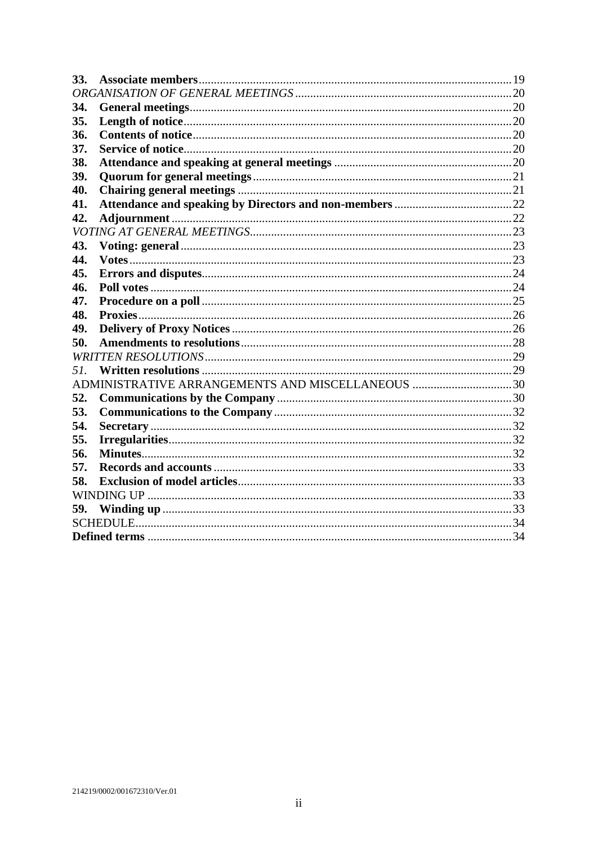| 33. |                                                  |  |  |  |
|-----|--------------------------------------------------|--|--|--|
|     |                                                  |  |  |  |
| 34. |                                                  |  |  |  |
| 35. |                                                  |  |  |  |
| 36. |                                                  |  |  |  |
| 37. |                                                  |  |  |  |
| 38. |                                                  |  |  |  |
| 39. |                                                  |  |  |  |
| 40. |                                                  |  |  |  |
| 41. |                                                  |  |  |  |
| 42. |                                                  |  |  |  |
|     |                                                  |  |  |  |
| 43. |                                                  |  |  |  |
| 44. |                                                  |  |  |  |
| 45. |                                                  |  |  |  |
| 46. |                                                  |  |  |  |
| 47. |                                                  |  |  |  |
| 48. |                                                  |  |  |  |
| 49. |                                                  |  |  |  |
| 50. |                                                  |  |  |  |
|     |                                                  |  |  |  |
| 57. |                                                  |  |  |  |
|     | ADMINISTRATIVE ARRANGEMENTS AND MISCELLANEOUS 30 |  |  |  |
| 52. |                                                  |  |  |  |
| 53. |                                                  |  |  |  |
| 54. |                                                  |  |  |  |
| 55. |                                                  |  |  |  |
| 56. |                                                  |  |  |  |
| 57. |                                                  |  |  |  |
| 58. |                                                  |  |  |  |
|     |                                                  |  |  |  |
| 59. |                                                  |  |  |  |
|     |                                                  |  |  |  |
|     |                                                  |  |  |  |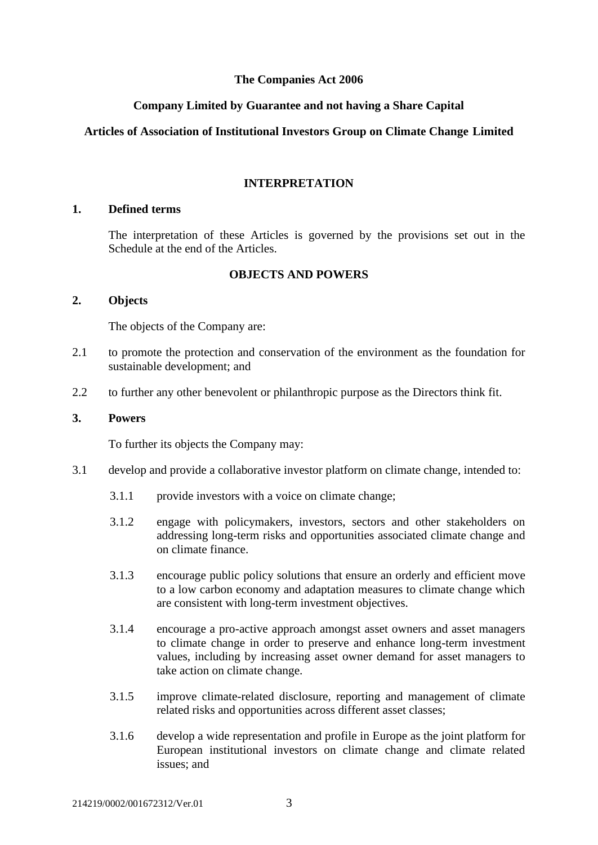### **The Companies Act 2006**

### **Company Limited by Guarantee and not having a Share Capital**

### **Articles of Association of Institutional Investors Group on Climate Change Limited**

#### **INTERPRETATION**

#### <span id="page-3-1"></span><span id="page-3-0"></span>**1. Defined terms**

The interpretation of these Articles is governed by the provisions set out in the Schedule at the end of the Articles.

### **OBJECTS AND POWERS**

#### <span id="page-3-3"></span><span id="page-3-2"></span>**2. Objects**

The objects of the Company are:

- 2.1 to promote the protection and conservation of the environment as the foundation for sustainable development; and
- 2.2 to further any other benevolent or philanthropic purpose as the Directors think fit.

#### <span id="page-3-4"></span>**3. Powers**

To further its objects the Company may:

- 3.1 develop and provide a collaborative investor platform on climate change, intended to:
	- 3.1.1 provide investors with a voice on climate change;
	- 3.1.2 engage with policymakers, investors, sectors and other stakeholders on addressing long-term risks and opportunities associated climate change and on climate finance.
	- 3.1.3 encourage public policy solutions that ensure an orderly and efficient move to a low carbon economy and adaptation measures to climate change which are consistent with long-term investment objectives.
	- 3.1.4 encourage a pro-active approach amongst asset owners and asset managers to climate change in order to preserve and enhance long-term investment values, including by increasing asset owner demand for asset managers to take action on climate change.
	- 3.1.5 improve climate-related disclosure, reporting and management of climate related risks and opportunities across different asset classes;
	- 3.1.6 develop a wide representation and profile in Europe as the joint platform for European institutional investors on climate change and climate related issues; and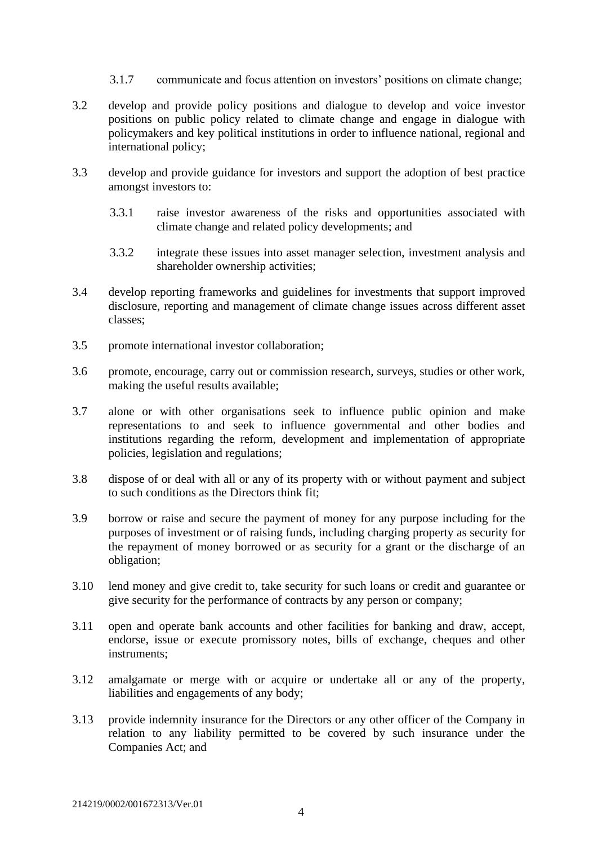- 3.1.7 communicate and focus attention on investors' positions on climate change;
- 3.2 develop and provide policy positions and dialogue to develop and voice investor positions on public policy related to climate change and engage in dialogue with policymakers and key political institutions in order to influence national, regional and international policy;
- 3.3 develop and provide guidance for investors and support the adoption of best practice amongst investors to:
	- 3.3.1 raise investor awareness of the risks and opportunities associated with climate change and related policy developments; and
	- 3.3.2 integrate these issues into asset manager selection, investment analysis and shareholder ownership activities;
- 3.4 develop reporting frameworks and guidelines for investments that support improved disclosure, reporting and management of climate change issues across different asset classes;
- 3.5 promote international investor collaboration;
- 3.6 promote, encourage, carry out or commission research, surveys, studies or other work, making the useful results available;
- 3.7 alone or with other organisations seek to influence public opinion and make representations to and seek to influence governmental and other bodies and institutions regarding the reform, development and implementation of appropriate policies, legislation and regulations;
- 3.8 dispose of or deal with all or any of its property with or without payment and subject to such conditions as the Directors think fit;
- 3.9 borrow or raise and secure the payment of money for any purpose including for the purposes of investment or of raising funds, including charging property as security for the repayment of money borrowed or as security for a grant or the discharge of an obligation;
- 3.10 lend money and give credit to, take security for such loans or credit and guarantee or give security for the performance of contracts by any person or company;
- 3.11 open and operate bank accounts and other facilities for banking and draw, accept, endorse, issue or execute promissory notes, bills of exchange, cheques and other instruments;
- 3.12 amalgamate or merge with or acquire or undertake all or any of the property, liabilities and engagements of any body;
- 3.13 provide indemnity insurance for the Directors or any other officer of the Company in relation to any liability permitted to be covered by such insurance under the Companies Act; and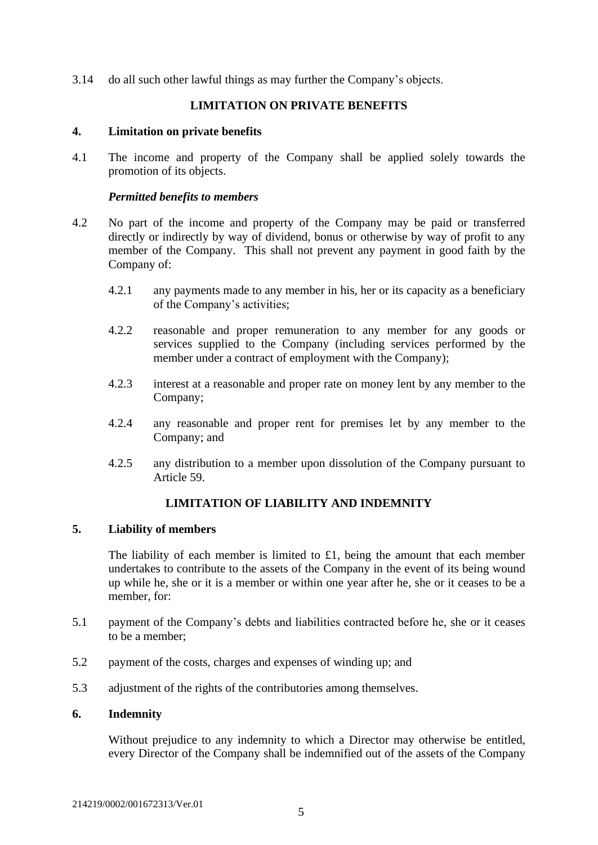<span id="page-5-0"></span>3.14 do all such other lawful things as may further the Company's objects.

### **LIMITATION ON PRIVATE BENEFITS**

#### <span id="page-5-1"></span>**4. Limitation on private benefits**

4.1 The income and property of the Company shall be applied solely towards the promotion of its objects.

### *Permitted benefits to members*

- 4.2 No part of the income and property of the Company may be paid or transferred directly or indirectly by way of dividend, bonus or otherwise by way of profit to any member of the Company. This shall not prevent any payment in good faith by the Company of:
	- 4.2.1 any payments made to any member in his, her or its capacity as a beneficiary of the Company's activities;
	- 4.2.2 reasonable and proper remuneration to any member for any goods or services supplied to the Company (including services performed by the member under a contract of employment with the Company);
	- 4.2.3 interest at a reasonable and proper rate on money lent by any member to the Company;
	- 4.2.4 any reasonable and proper rent for premises let by any member to the Company; and
	- 4.2.5 any distribution to a member upon dissolution of the Company pursuant to Article 59.

# **LIMITATION OF LIABILITY AND INDEMNITY**

### <span id="page-5-3"></span><span id="page-5-2"></span>**5. Liability of members**

The liability of each member is limited to £1, being the amount that each member undertakes to contribute to the assets of the Company in the event of its being wound up while he, she or it is a member or within one year after he, she or it ceases to be a member, for:

- 5.1 payment of the Company's debts and liabilities contracted before he, she or it ceases to be a member;
- 5.2 payment of the costs, charges and expenses of winding up; and
- 5.3 adjustment of the rights of the contributories among themselves.

### <span id="page-5-4"></span>**6. Indemnity**

Without prejudice to any indemnity to which a Director may otherwise be entitled, every Director of the Company shall be indemnified out of the assets of the Company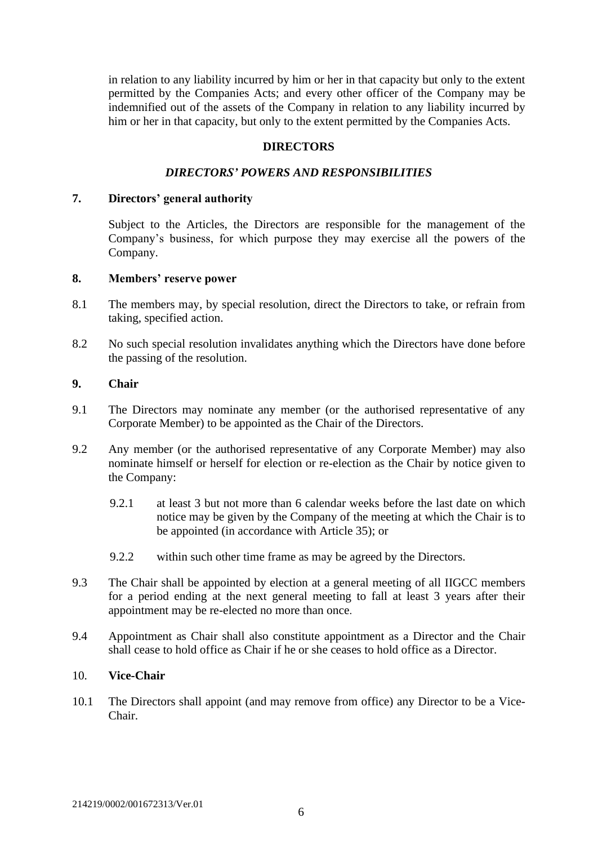in relation to any liability incurred by him or her in that capacity but only to the extent permitted by the Companies Acts; and every other officer of the Company may be indemnified out of the assets of the Company in relation to any liability incurred by him or her in that capacity, but only to the extent permitted by the Companies Acts.

### **DIRECTORS**

#### *DIRECTORS' POWERS AND RESPONSIBILITIES*

#### <span id="page-6-2"></span><span id="page-6-1"></span><span id="page-6-0"></span>**7. Directors' general authority**

Subject to the Articles, the Directors are responsible for the management of the Company's business, for which purpose they may exercise all the powers of the Company.

#### <span id="page-6-3"></span>**8. Members' reserve power**

- 8.1 The members may, by special resolution, direct the Directors to take, or refrain from taking, specified action.
- 8.2 No such special resolution invalidates anything which the Directors have done before the passing of the resolution.

#### <span id="page-6-4"></span>**9. Chair**

- 9.1 The Directors may nominate any member (or the authorised representative of any Corporate Member) to be appointed as the Chair of the Directors.
- 9.2 Any member (or the authorised representative of any Corporate Member) may also nominate himself or herself for election or re-election as the Chair by notice given to the Company:
	- 9.2.1 at least 3 but not more than 6 calendar weeks before the last date on which notice may be given by the Company of the meeting at which the Chair is to be appointed (in accordance with Article 35); or
	- 9.2.2 within such other time frame as may be agreed by the Directors.
- 9.3 The Chair shall be appointed by election at a general meeting of all IIGCC members for a period ending at the next general meeting to fall at least 3 years after their appointment may be re-elected no more than once.
- 9.4 Appointment as Chair shall also constitute appointment as a Director and the Chair shall cease to hold office as Chair if he or she ceases to hold office as a Director.

#### <span id="page-6-5"></span>10. **Vice-Chair**

10.1 The Directors shall appoint (and may remove from office) any Director to be a Vice-Chair.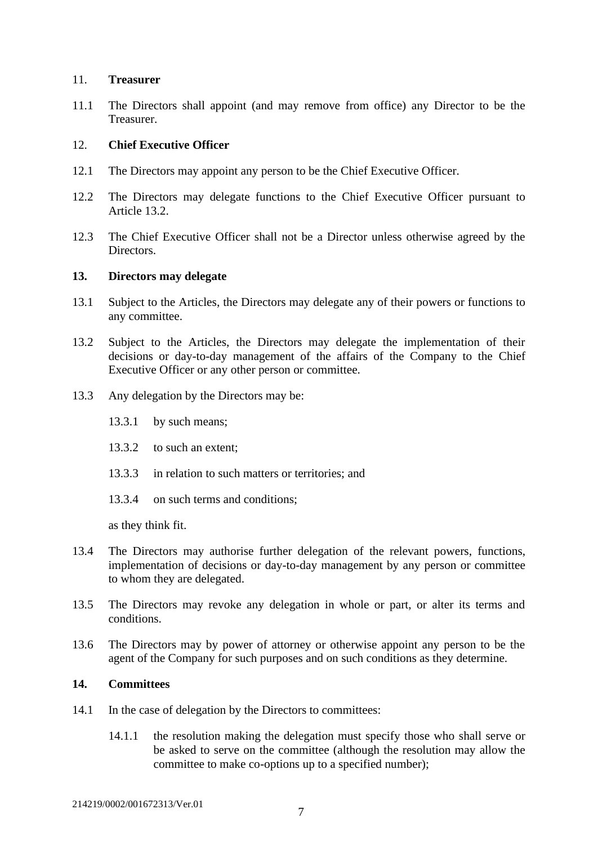#### <span id="page-7-0"></span>11. **Treasurer**

11.1 The Directors shall appoint (and may remove from office) any Director to be the Treasurer.

#### <span id="page-7-1"></span>12. **Chief Executive Officer**

- 12.1 The Directors may appoint any person to be the Chief Executive Officer.
- 12.2 The Directors may delegate functions to the Chief Executive Officer pursuant to Article 13.2.
- 12.3 The Chief Executive Officer shall not be a Director unless otherwise agreed by the Directors.

#### <span id="page-7-2"></span>**13. Directors may delegate**

- 13.1 Subject to the Articles, the Directors may delegate any of their powers or functions to any committee.
- 13.2 Subject to the Articles, the Directors may delegate the implementation of their decisions or day-to-day management of the affairs of the Company to the Chief Executive Officer or any other person or committee.
- 13.3 Any delegation by the Directors may be:
	- 13.3.1 by such means;
	- 13.3.2 to such an extent;
	- 13.3.3 in relation to such matters or territories; and
	- 13.3.4 on such terms and conditions;

as they think fit.

- 13.4 The Directors may authorise further delegation of the relevant powers, functions, implementation of decisions or day-to-day management by any person or committee to whom they are delegated.
- 13.5 The Directors may revoke any delegation in whole or part, or alter its terms and conditions.
- 13.6 The Directors may by power of attorney or otherwise appoint any person to be the agent of the Company for such purposes and on such conditions as they determine.

### <span id="page-7-3"></span>**14. Committees**

- 14.1 In the case of delegation by the Directors to committees:
	- 14.1.1 the resolution making the delegation must specify those who shall serve or be asked to serve on the committee (although the resolution may allow the committee to make co-options up to a specified number);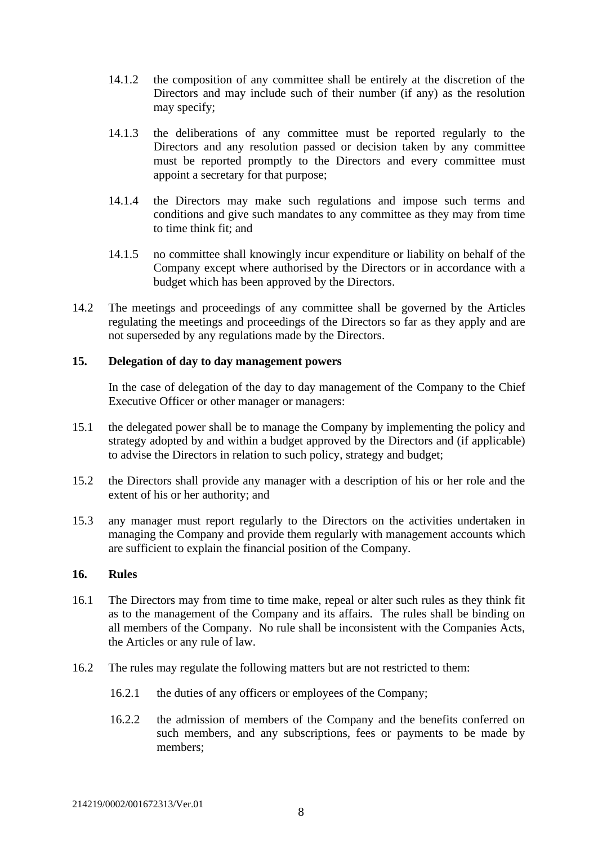- 14.1.2 the composition of any committee shall be entirely at the discretion of the Directors and may include such of their number (if any) as the resolution may specify;
- 14.1.3 the deliberations of any committee must be reported regularly to the Directors and any resolution passed or decision taken by any committee must be reported promptly to the Directors and every committee must appoint a secretary for that purpose;
- 14.1.4 the Directors may make such regulations and impose such terms and conditions and give such mandates to any committee as they may from time to time think fit; and
- 14.1.5 no committee shall knowingly incur expenditure or liability on behalf of the Company except where authorised by the Directors or in accordance with a budget which has been approved by the Directors.
- 14.2 The meetings and proceedings of any committee shall be governed by the Articles regulating the meetings and proceedings of the Directors so far as they apply and are not superseded by any regulations made by the Directors.

### <span id="page-8-0"></span>**15. Delegation of day to day management powers**

In the case of delegation of the day to day management of the Company to the Chief Executive Officer or other manager or managers:

- 15.1 the delegated power shall be to manage the Company by implementing the policy and strategy adopted by and within a budget approved by the Directors and (if applicable) to advise the Directors in relation to such policy, strategy and budget;
- 15.2 the Directors shall provide any manager with a description of his or her role and the extent of his or her authority; and
- 15.3 any manager must report regularly to the Directors on the activities undertaken in managing the Company and provide them regularly with management accounts which are sufficient to explain the financial position of the Company.

#### <span id="page-8-1"></span>**16. Rules**

- 16.1 The Directors may from time to time make, repeal or alter such rules as they think fit as to the management of the Company and its affairs. The rules shall be binding on all members of the Company. No rule shall be inconsistent with the Companies Acts, the Articles or any rule of law.
- 16.2 The rules may regulate the following matters but are not restricted to them:
	- 16.2.1 the duties of any officers or employees of the Company;
	- 16.2.2 the admission of members of the Company and the benefits conferred on such members, and any subscriptions, fees or payments to be made by members;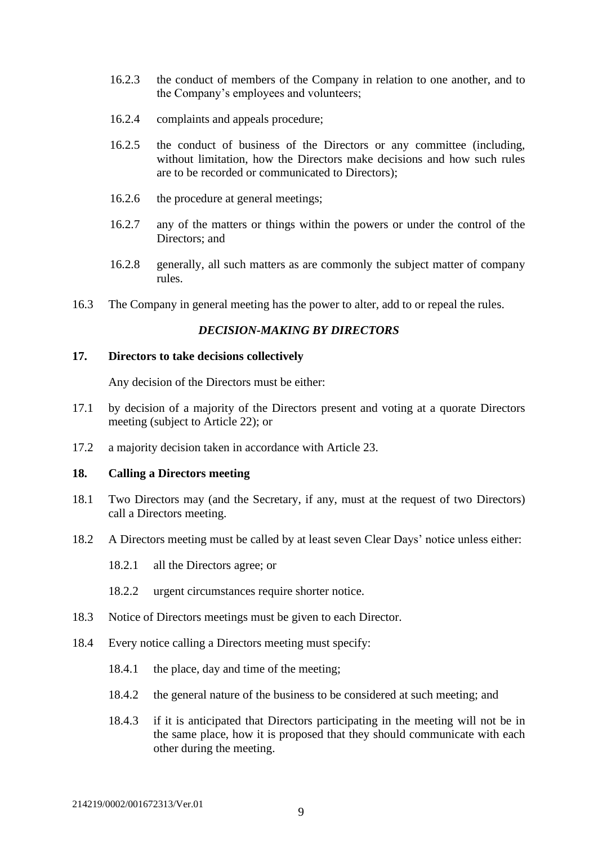- 16.2.3 the conduct of members of the Company in relation to one another, and to the Company's employees and volunteers;
- 16.2.4 complaints and appeals procedure;
- 16.2.5 the conduct of business of the Directors or any committee (including, without limitation, how the Directors make decisions and how such rules are to be recorded or communicated to Directors);
- 16.2.6 the procedure at general meetings;
- 16.2.7 any of the matters or things within the powers or under the control of the Directors; and
- 16.2.8 generally, all such matters as are commonly the subject matter of company rules.
- <span id="page-9-0"></span>16.3 The Company in general meeting has the power to alter, add to or repeal the rules.

### *DECISION-MAKING BY DIRECTORS*

#### <span id="page-9-1"></span>**17. Directors to take decisions collectively**

Any decision of the Directors must be either:

- 17.1 by decision of a majority of the Directors present and voting at a quorate Directors meeting (subject to Article 22); or
- 17.2 a majority decision taken in accordance with Article 23.

#### <span id="page-9-2"></span>**18. Calling a Directors meeting**

- 18.1 Two Directors may (and the Secretary, if any, must at the request of two Directors) call a Directors meeting.
- 18.2 A Directors meeting must be called by at least seven Clear Days' notice unless either:
	- 18.2.1 all the Directors agree; or
	- 18.2.2 urgent circumstances require shorter notice.
- 18.3 Notice of Directors meetings must be given to each Director.
- 18.4 Every notice calling a Directors meeting must specify:
	- 18.4.1 the place, day and time of the meeting;
	- 18.4.2 the general nature of the business to be considered at such meeting; and
	- 18.4.3 if it is anticipated that Directors participating in the meeting will not be in the same place, how it is proposed that they should communicate with each other during the meeting.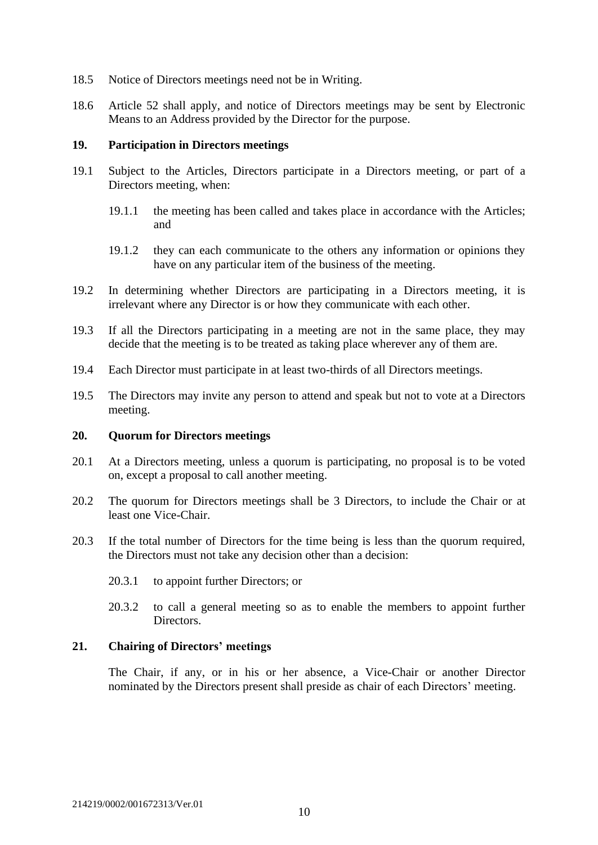- 18.5 Notice of Directors meetings need not be in Writing.
- 18.6 Article 52 shall apply, and notice of Directors meetings may be sent by Electronic Means to an Address provided by the Director for the purpose.

#### <span id="page-10-0"></span>**19. Participation in Directors meetings**

- 19.1 Subject to the Articles, Directors participate in a Directors meeting, or part of a Directors meeting, when:
	- 19.1.1 the meeting has been called and takes place in accordance with the Articles; and
	- 19.1.2 they can each communicate to the others any information or opinions they have on any particular item of the business of the meeting.
- 19.2 In determining whether Directors are participating in a Directors meeting, it is irrelevant where any Director is or how they communicate with each other.
- 19.3 If all the Directors participating in a meeting are not in the same place, they may decide that the meeting is to be treated as taking place wherever any of them are.
- 19.4 Each Director must participate in at least two-thirds of all Directors meetings.
- 19.5 The Directors may invite any person to attend and speak but not to vote at a Directors meeting.

#### <span id="page-10-1"></span>**20. Quorum for Directors meetings**

- 20.1 At a Directors meeting, unless a quorum is participating, no proposal is to be voted on, except a proposal to call another meeting.
- 20.2 The quorum for Directors meetings shall be 3 Directors, to include the Chair or at least one Vice-Chair.
- 20.3 If the total number of Directors for the time being is less than the quorum required, the Directors must not take any decision other than a decision:
	- 20.3.1 to appoint further Directors; or
	- 20.3.2 to call a general meeting so as to enable the members to appoint further Directors.

## <span id="page-10-2"></span>**21. Chairing of Directors' meetings**

The Chair, if any, or in his or her absence, a Vice-Chair or another Director nominated by the Directors present shall preside as chair of each Directors' meeting.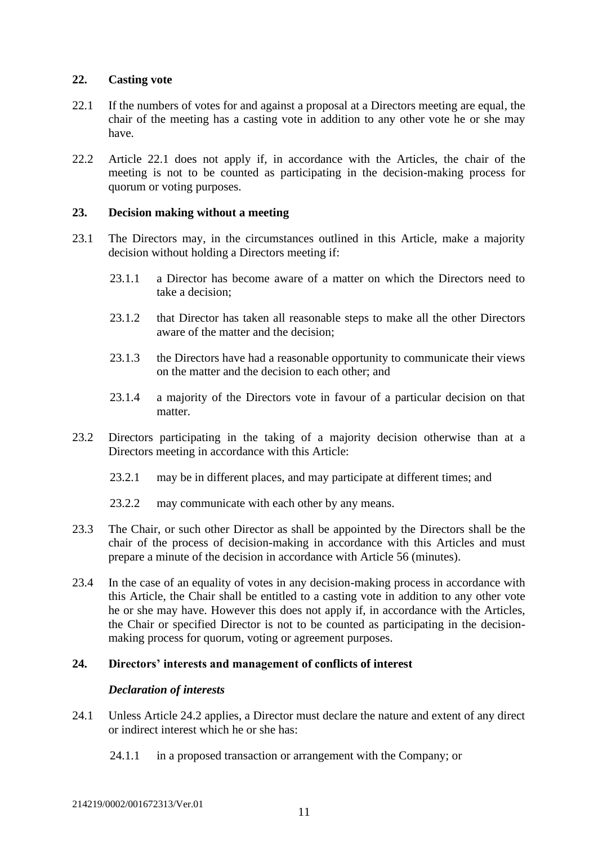### <span id="page-11-0"></span>**22. Casting vote**

- 22.1 If the numbers of votes for and against a proposal at a Directors meeting are equal, the chair of the meeting has a casting vote in addition to any other vote he or she may have.
- 22.2 Article 22.1 does not apply if, in accordance with the Articles, the chair of the meeting is not to be counted as participating in the decision-making process for quorum or voting purposes.

### <span id="page-11-1"></span>**23. Decision making without a meeting**

- 23.1 The Directors may, in the circumstances outlined in this Article, make a majority decision without holding a Directors meeting if:
	- 23.1.1 a Director has become aware of a matter on which the Directors need to take a decision;
	- 23.1.2 that Director has taken all reasonable steps to make all the other Directors aware of the matter and the decision;
	- 23.1.3 the Directors have had a reasonable opportunity to communicate their views on the matter and the decision to each other; and
	- 23.1.4 a majority of the Directors vote in favour of a particular decision on that matter.
- 23.2 Directors participating in the taking of a majority decision otherwise than at a Directors meeting in accordance with this Article:
	- 23.2.1 may be in different places, and may participate at different times; and
	- 23.2.2 may communicate with each other by any means.
- 23.3 The Chair, or such other Director as shall be appointed by the Directors shall be the chair of the process of decision-making in accordance with this Articles and must prepare a minute of the decision in accordance with Article 56 (minutes).
- 23.4 In the case of an equality of votes in any decision-making process in accordance with this Article, the Chair shall be entitled to a casting vote in addition to any other vote he or she may have. However this does not apply if, in accordance with the Articles, the Chair or specified Director is not to be counted as participating in the decisionmaking process for quorum, voting or agreement purposes.

### <span id="page-11-2"></span>**24. Directors' interests and management of conflicts of interest**

### *Declaration of interests*

- 24.1 Unless Article 24.2 applies, a Director must declare the nature and extent of any direct or indirect interest which he or she has:
	- 24.1.1 in a proposed transaction or arrangement with the Company; or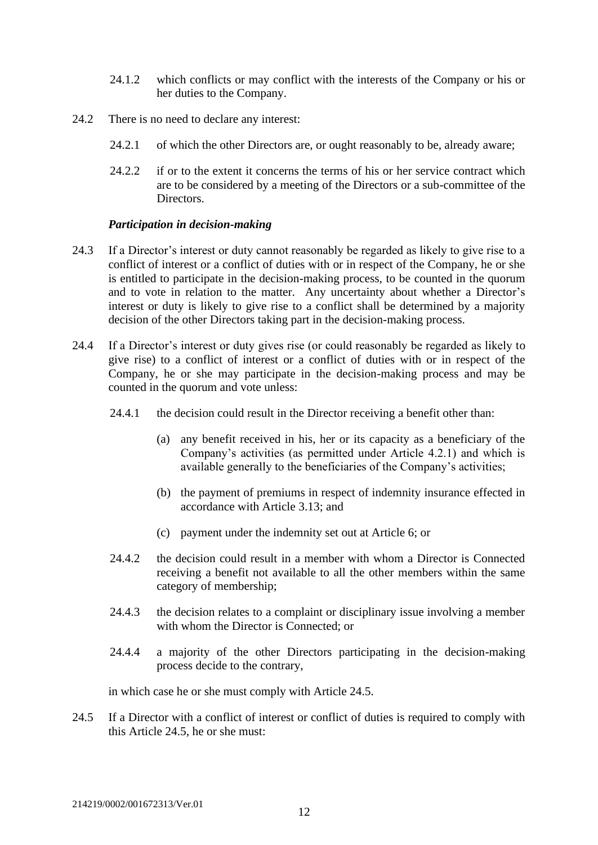- 24.1.2 which conflicts or may conflict with the interests of the Company or his or her duties to the Company.
- 24.2 There is no need to declare any interest:
	- 24.2.1 of which the other Directors are, or ought reasonably to be, already aware;
	- 24.2.2 if or to the extent it concerns the terms of his or her service contract which are to be considered by a meeting of the Directors or a sub-committee of the **Directors**

#### *Participation in decision-making*

- 24.3 If a Director's interest or duty cannot reasonably be regarded as likely to give rise to a conflict of interest or a conflict of duties with or in respect of the Company, he or she is entitled to participate in the decision-making process, to be counted in the quorum and to vote in relation to the matter. Any uncertainty about whether a Director's interest or duty is likely to give rise to a conflict shall be determined by a majority decision of the other Directors taking part in the decision-making process.
- 24.4 If a Director's interest or duty gives rise (or could reasonably be regarded as likely to give rise) to a conflict of interest or a conflict of duties with or in respect of the Company, he or she may participate in the decision-making process and may be counted in the quorum and vote unless:
	- 24.4.1 the decision could result in the Director receiving a benefit other than:
		- (a) any benefit received in his, her or its capacity as a beneficiary of the Company's activities (as permitted under Article 4.2.1) and which is available generally to the beneficiaries of the Company's activities;
		- (b) the payment of premiums in respect of indemnity insurance effected in accordance with Article 3.13; and
		- (c) payment under the indemnity set out at Article 6; or
	- 24.4.2 the decision could result in a member with whom a Director is Connected receiving a benefit not available to all the other members within the same category of membership;
	- 24.4.3 the decision relates to a complaint or disciplinary issue involving a member with whom the Director is Connected; or
	- 24.4.4 a majority of the other Directors participating in the decision-making process decide to the contrary,

in which case he or she must comply with Article 24.5.

24.5 If a Director with a conflict of interest or conflict of duties is required to comply with this Article 24.5, he or she must: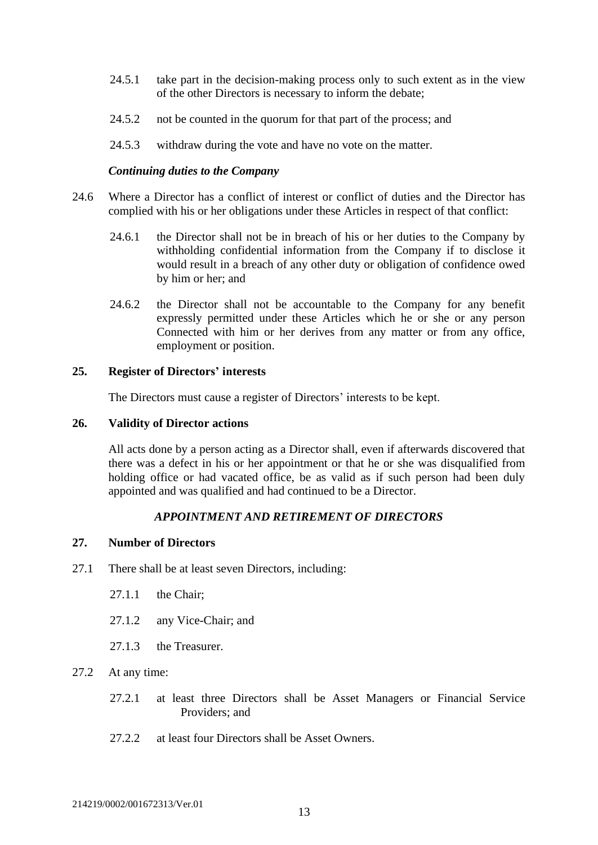- 24.5.1 take part in the decision-making process only to such extent as in the view of the other Directors is necessary to inform the debate;
- 24.5.2 not be counted in the quorum for that part of the process; and
- 24.5.3 withdraw during the vote and have no vote on the matter.

#### *Continuing duties to the Company*

- 24.6 Where a Director has a conflict of interest or conflict of duties and the Director has complied with his or her obligations under these Articles in respect of that conflict:
	- 24.6.1 the Director shall not be in breach of his or her duties to the Company by withholding confidential information from the Company if to disclose it would result in a breach of any other duty or obligation of confidence owed by him or her; and
	- 24.6.2 the Director shall not be accountable to the Company for any benefit expressly permitted under these Articles which he or she or any person Connected with him or her derives from any matter or from any office, employment or position.

#### <span id="page-13-0"></span>**25. Register of Directors' interests**

The Directors must cause a register of Directors' interests to be kept.

#### <span id="page-13-1"></span>**26. Validity of Director actions**

All acts done by a person acting as a Director shall, even if afterwards discovered that there was a defect in his or her appointment or that he or she was disqualified from holding office or had vacated office, be as valid as if such person had been duly appointed and was qualified and had continued to be a Director.

### *APPOINTMENT AND RETIREMENT OF DIRECTORS*

#### <span id="page-13-3"></span><span id="page-13-2"></span>**27. Number of Directors**

- 27.1 There shall be at least seven Directors, including:
	- 27.1.1 the Chair;
	- 27.1.2 any Vice-Chair; and
	- 27.1.3 the Treasurer.
- 27.2 At any time:
	- 27.2.1 at least three Directors shall be Asset Managers or Financial Service Providers; and
	- 27.2.2 at least four Directors shall be Asset Owners.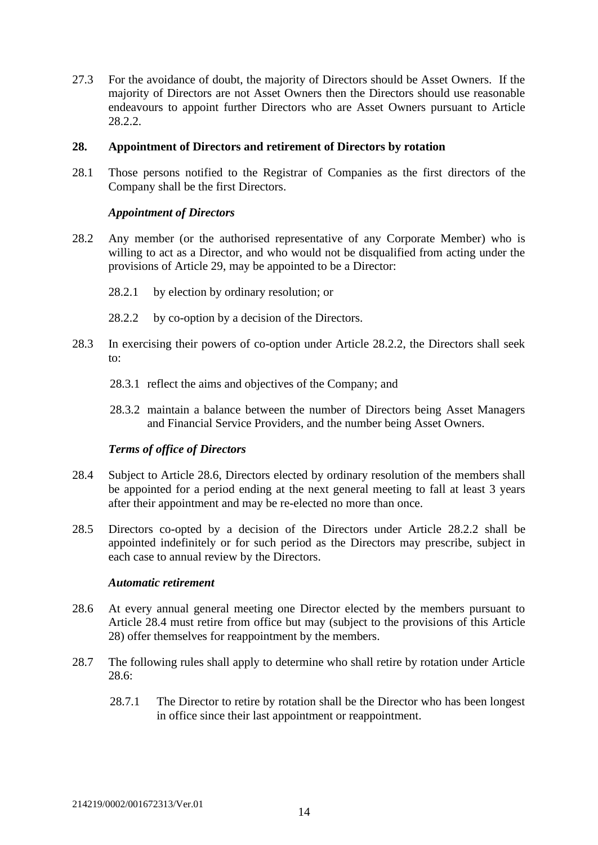27.3 For the avoidance of doubt, the majority of Directors should be Asset Owners. If the majority of Directors are not Asset Owners then the Directors should use reasonable endeavours to appoint further Directors who are Asset Owners pursuant to Article 28.2.2.

### <span id="page-14-0"></span>**28. Appointment of Directors and retirement of Directors by rotation**

28.1 Those persons notified to the Registrar of Companies as the first directors of the Company shall be the first Directors.

### *Appointment of Directors*

- 28.2 Any member (or the authorised representative of any Corporate Member) who is willing to act as a Director, and who would not be disqualified from acting under the provisions of Article 29, may be appointed to be a Director:
	- 28.2.1 by election by ordinary resolution; or
	- 28.2.2 by co-option by a decision of the Directors.
- 28.3 In exercising their powers of co-option under Article 28.2.2, the Directors shall seek to:
	- 28.3.1 reflect the aims and objectives of the Company; and
	- 28.3.2 maintain a balance between the number of Directors being Asset Managers and Financial Service Providers, and the number being Asset Owners.

### *Terms of office of Directors*

- 28.4 Subject to Article 28.6, Directors elected by ordinary resolution of the members shall be appointed for a period ending at the next general meeting to fall at least 3 years after their appointment and may be re-elected no more than once.
- 28.5 Directors co-opted by a decision of the Directors under Article 28.2.2 shall be appointed indefinitely or for such period as the Directors may prescribe, subject in each case to annual review by the Directors.

### *Automatic retirement*

- 28.6 At every annual general meeting one Director elected by the members pursuant to Article 28.4 must retire from office but may (subject to the provisions of this Article 28) offer themselves for reappointment by the members.
- 28.7 The following rules shall apply to determine who shall retire by rotation under Article 28.6:
	- 28.7.1 The Director to retire by rotation shall be the Director who has been longest in office since their last appointment or reappointment.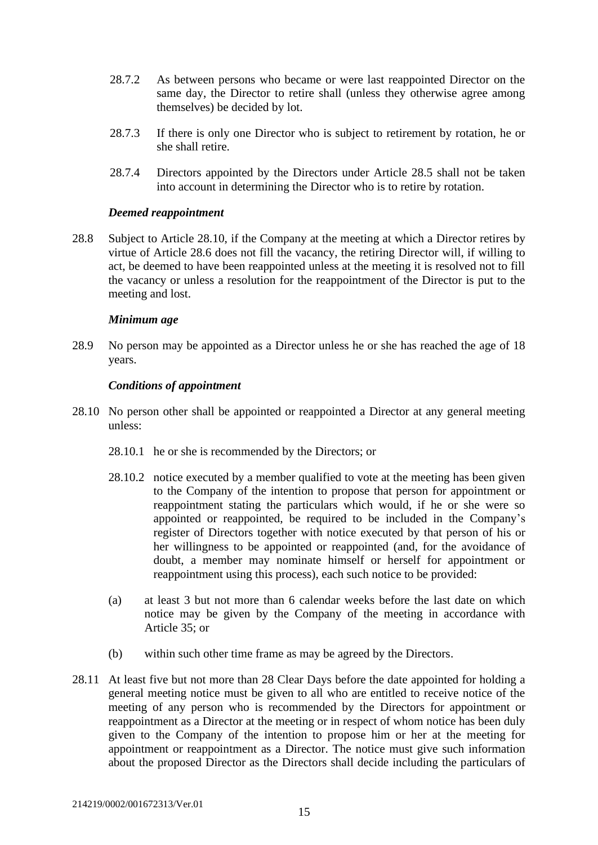- 28.7.2 As between persons who became or were last reappointed Director on the same day, the Director to retire shall (unless they otherwise agree among themselves) be decided by lot.
- 28.7.3 If there is only one Director who is subject to retirement by rotation, he or she shall retire.
- 28.7.4 Directors appointed by the Directors under Article 28.5 shall not be taken into account in determining the Director who is to retire by rotation.

### *Deemed reappointment*

28.8 Subject to Article 28.10, if the Company at the meeting at which a Director retires by virtue of Article 28.6 does not fill the vacancy, the retiring Director will, if willing to act, be deemed to have been reappointed unless at the meeting it is resolved not to fill the vacancy or unless a resolution for the reappointment of the Director is put to the meeting and lost.

### *Minimum age*

28.9 No person may be appointed as a Director unless he or she has reached the age of 18 years.

### *Conditions of appointment*

- 28.10 No person other shall be appointed or reappointed a Director at any general meeting unless:
	- 28.10.1 he or she is recommended by the Directors; or
	- 28.10.2 notice executed by a member qualified to vote at the meeting has been given to the Company of the intention to propose that person for appointment or reappointment stating the particulars which would, if he or she were so appointed or reappointed, be required to be included in the Company's register of Directors together with notice executed by that person of his or her willingness to be appointed or reappointed (and, for the avoidance of doubt, a member may nominate himself or herself for appointment or reappointment using this process), each such notice to be provided:
	- (a) at least 3 but not more than 6 calendar weeks before the last date on which notice may be given by the Company of the meeting in accordance with Article 35; or
	- (b) within such other time frame as may be agreed by the Directors.
- 28.11 At least five but not more than 28 Clear Days before the date appointed for holding a general meeting notice must be given to all who are entitled to receive notice of the meeting of any person who is recommended by the Directors for appointment or reappointment as a Director at the meeting or in respect of whom notice has been duly given to the Company of the intention to propose him or her at the meeting for appointment or reappointment as a Director. The notice must give such information about the proposed Director as the Directors shall decide including the particulars of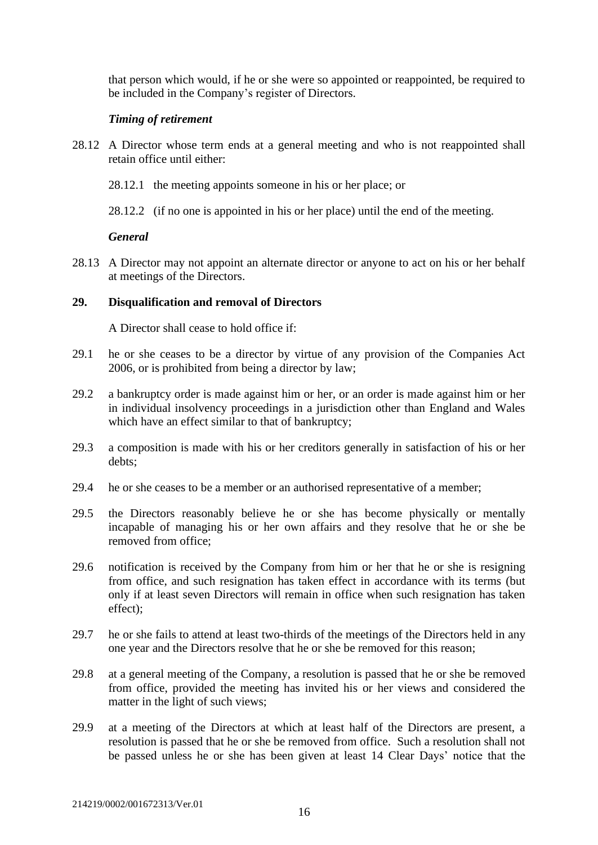that person which would, if he or she were so appointed or reappointed, be required to be included in the Company's register of Directors.

### *Timing of retirement*

- 28.12 A Director whose term ends at a general meeting and who is not reappointed shall retain office until either:
	- 28.12.1 the meeting appoints someone in his or her place; or
	- 28.12.2 (if no one is appointed in his or her place) until the end of the meeting.

### *General*

28.13 A Director may not appoint an alternate director or anyone to act on his or her behalf at meetings of the Directors.

### <span id="page-16-0"></span>**29. Disqualification and removal of Directors**

A Director shall cease to hold office if:

- 29.1 he or she ceases to be a director by virtue of any provision of the Companies Act 2006, or is prohibited from being a director by law;
- 29.2 a bankruptcy order is made against him or her, or an order is made against him or her in individual insolvency proceedings in a jurisdiction other than England and Wales which have an effect similar to that of bankruptcy;
- 29.3 a composition is made with his or her creditors generally in satisfaction of his or her debts;
- 29.4 he or she ceases to be a member or an authorised representative of a member;
- 29.5 the Directors reasonably believe he or she has become physically or mentally incapable of managing his or her own affairs and they resolve that he or she be removed from office;
- 29.6 notification is received by the Company from him or her that he or she is resigning from office, and such resignation has taken effect in accordance with its terms (but only if at least seven Directors will remain in office when such resignation has taken effect);
- 29.7 he or she fails to attend at least two-thirds of the meetings of the Directors held in any one year and the Directors resolve that he or she be removed for this reason;
- 29.8 at a general meeting of the Company, a resolution is passed that he or she be removed from office, provided the meeting has invited his or her views and considered the matter in the light of such views;
- 29.9 at a meeting of the Directors at which at least half of the Directors are present, a resolution is passed that he or she be removed from office. Such a resolution shall not be passed unless he or she has been given at least 14 Clear Days' notice that the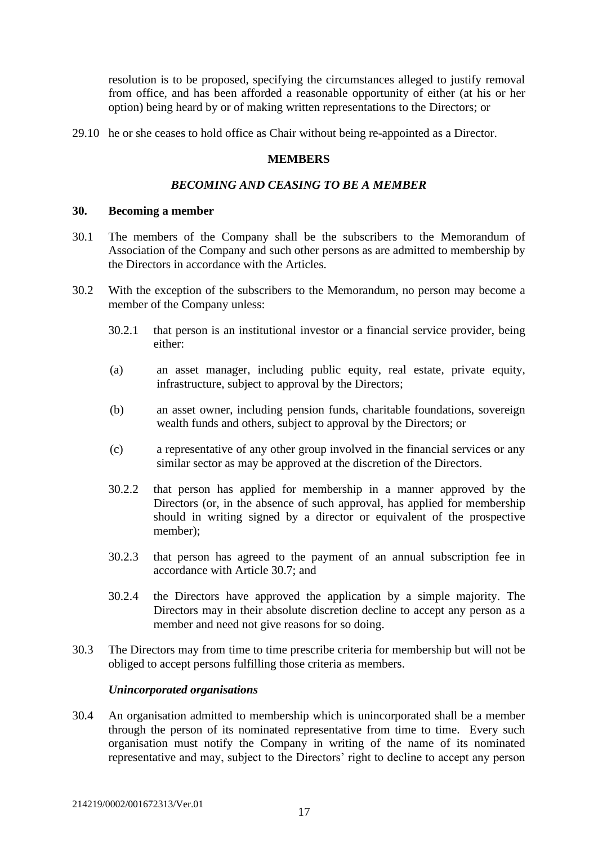resolution is to be proposed, specifying the circumstances alleged to justify removal from office, and has been afforded a reasonable opportunity of either (at his or her option) being heard by or of making written representations to the Directors; or

<span id="page-17-0"></span>29.10 he or she ceases to hold office as Chair without being re-appointed as a Director.

### **MEMBERS**

### *BECOMING AND CEASING TO BE A MEMBER*

### <span id="page-17-2"></span><span id="page-17-1"></span>**30. Becoming a member**

- 30.1 The members of the Company shall be the subscribers to the Memorandum of Association of the Company and such other persons as are admitted to membership by the Directors in accordance with the Articles.
- 30.2 With the exception of the subscribers to the Memorandum, no person may become a member of the Company unless:
	- 30.2.1 that person is an institutional investor or a financial service provider, being either:
	- (a) an asset manager, including public equity, real estate, private equity, infrastructure, subject to approval by the Directors;
	- (b) an asset owner, including pension funds, charitable foundations, sovereign wealth funds and others, subject to approval by the Directors; or
	- (c) a representative of any other group involved in the financial services or any similar sector as may be approved at the discretion of the Directors.
	- 30.2.2 that person has applied for membership in a manner approved by the Directors (or, in the absence of such approval, has applied for membership should in writing signed by a director or equivalent of the prospective member);
	- 30.2.3 that person has agreed to the payment of an annual subscription fee in accordance with Article 30.7; and
	- 30.2.4 the Directors have approved the application by a simple majority. The Directors may in their absolute discretion decline to accept any person as a member and need not give reasons for so doing.
- 30.3 The Directors may from time to time prescribe criteria for membership but will not be obliged to accept persons fulfilling those criteria as members.

### *Unincorporated organisations*

30.4 An organisation admitted to membership which is unincorporated shall be a member through the person of its nominated representative from time to time. Every such organisation must notify the Company in writing of the name of its nominated representative and may, subject to the Directors' right to decline to accept any person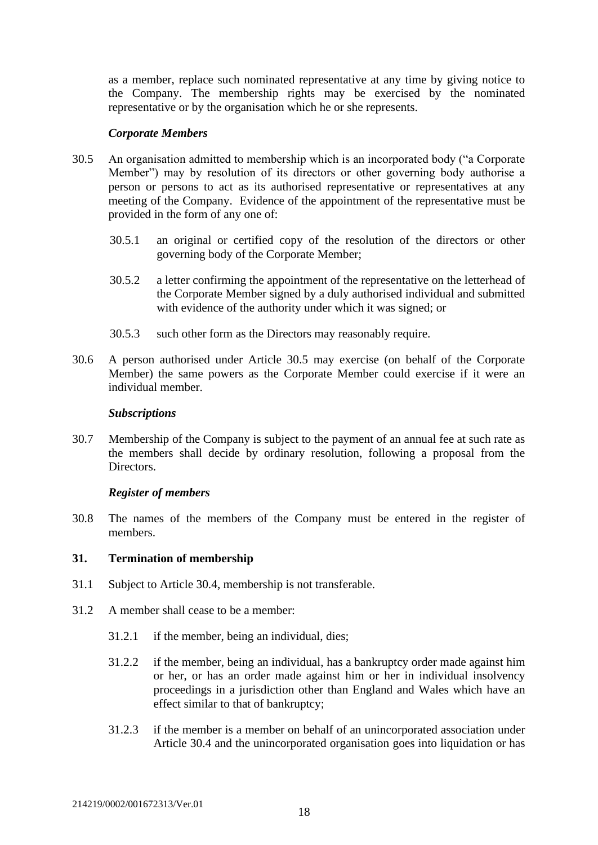as a member, replace such nominated representative at any time by giving notice to the Company. The membership rights may be exercised by the nominated representative or by the organisation which he or she represents.

#### *Corporate Members*

- 30.5 An organisation admitted to membership which is an incorporated body ("a Corporate Member") may by resolution of its directors or other governing body authorise a person or persons to act as its authorised representative or representatives at any meeting of the Company. Evidence of the appointment of the representative must be provided in the form of any one of:
	- 30.5.1 an original or certified copy of the resolution of the directors or other governing body of the Corporate Member;
	- 30.5.2 a letter confirming the appointment of the representative on the letterhead of the Corporate Member signed by a duly authorised individual and submitted with evidence of the authority under which it was signed; or
	- 30.5.3 such other form as the Directors may reasonably require.
- 30.6 A person authorised under Article 30.5 may exercise (on behalf of the Corporate Member) the same powers as the Corporate Member could exercise if it were an individual member.

#### *Subscriptions*

30.7 Membership of the Company is subject to the payment of an annual fee at such rate as the members shall decide by ordinary resolution, following a proposal from the Directors.

### *Register of members*

30.8 The names of the members of the Company must be entered in the register of members.

### <span id="page-18-0"></span>**31. Termination of membership**

- 31.1 Subject to Article 30.4, membership is not transferable.
- 31.2 A member shall cease to be a member:
	- 31.2.1 if the member, being an individual, dies;
	- 31.2.2 if the member, being an individual, has a bankruptcy order made against him or her, or has an order made against him or her in individual insolvency proceedings in a jurisdiction other than England and Wales which have an effect similar to that of bankruptcy;
	- 31.2.3 if the member is a member on behalf of an unincorporated association under Article 30.4 and the unincorporated organisation goes into liquidation or has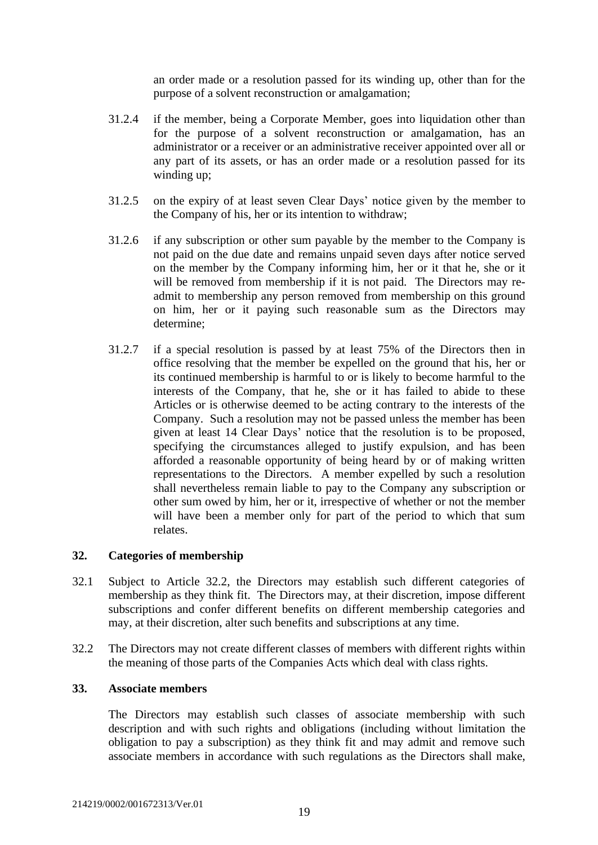an order made or a resolution passed for its winding up, other than for the purpose of a solvent reconstruction or amalgamation;

- 31.2.4 if the member, being a Corporate Member, goes into liquidation other than for the purpose of a solvent reconstruction or amalgamation, has an administrator or a receiver or an administrative receiver appointed over all or any part of its assets, or has an order made or a resolution passed for its winding up;
- 31.2.5 on the expiry of at least seven Clear Days' notice given by the member to the Company of his, her or its intention to withdraw;
- 31.2.6 if any subscription or other sum payable by the member to the Company is not paid on the due date and remains unpaid seven days after notice served on the member by the Company informing him, her or it that he, she or it will be removed from membership if it is not paid. The Directors may readmit to membership any person removed from membership on this ground on him, her or it paying such reasonable sum as the Directors may determine;
- 31.2.7 if a special resolution is passed by at least 75% of the Directors then in office resolving that the member be expelled on the ground that his, her or its continued membership is harmful to or is likely to become harmful to the interests of the Company, that he, she or it has failed to abide to these Articles or is otherwise deemed to be acting contrary to the interests of the Company. Such a resolution may not be passed unless the member has been given at least 14 Clear Days' notice that the resolution is to be proposed, specifying the circumstances alleged to justify expulsion, and has been afforded a reasonable opportunity of being heard by or of making written representations to the Directors. A member expelled by such a resolution shall nevertheless remain liable to pay to the Company any subscription or other sum owed by him, her or it, irrespective of whether or not the member will have been a member only for part of the period to which that sum relates.

### <span id="page-19-0"></span>**32. Categories of membership**

- 32.1 Subject to Article 32.2, the Directors may establish such different categories of membership as they think fit. The Directors may, at their discretion, impose different subscriptions and confer different benefits on different membership categories and may, at their discretion, alter such benefits and subscriptions at any time.
- 32.2 The Directors may not create different classes of members with different rights within the meaning of those parts of the Companies Acts which deal with class rights.

### <span id="page-19-1"></span>**33. Associate members**

The Directors may establish such classes of associate membership with such description and with such rights and obligations (including without limitation the obligation to pay a subscription) as they think fit and may admit and remove such associate members in accordance with such regulations as the Directors shall make,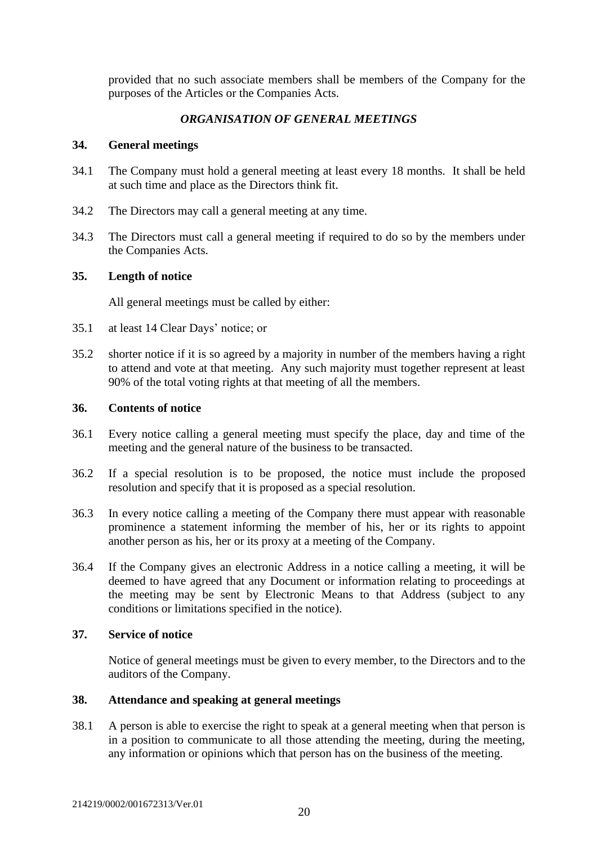provided that no such associate members shall be members of the Company for the purposes of the Articles or the Companies Acts.

### *ORGANISATION OF GENERAL MEETINGS*

#### <span id="page-20-1"></span><span id="page-20-0"></span>**34. General meetings**

- 34.1 The Company must hold a general meeting at least every 18 months. It shall be held at such time and place as the Directors think fit.
- 34.2 The Directors may call a general meeting at any time.
- 34.3 The Directors must call a general meeting if required to do so by the members under the Companies Acts.

### <span id="page-20-2"></span>**35. Length of notice**

All general meetings must be called by either:

- 35.1 at least 14 Clear Days' notice; or
- 35.2 shorter notice if it is so agreed by a majority in number of the members having a right to attend and vote at that meeting. Any such majority must together represent at least 90% of the total voting rights at that meeting of all the members.

#### <span id="page-20-3"></span>**36. Contents of notice**

- 36.1 Every notice calling a general meeting must specify the place, day and time of the meeting and the general nature of the business to be transacted.
- 36.2 If a special resolution is to be proposed, the notice must include the proposed resolution and specify that it is proposed as a special resolution.
- 36.3 In every notice calling a meeting of the Company there must appear with reasonable prominence a statement informing the member of his, her or its rights to appoint another person as his, her or its proxy at a meeting of the Company.
- 36.4 If the Company gives an electronic Address in a notice calling a meeting, it will be deemed to have agreed that any Document or information relating to proceedings at the meeting may be sent by Electronic Means to that Address (subject to any conditions or limitations specified in the notice).

### <span id="page-20-4"></span>**37. Service of notice**

Notice of general meetings must be given to every member, to the Directors and to the auditors of the Company.

### <span id="page-20-5"></span>**38. Attendance and speaking at general meetings**

38.1 A person is able to exercise the right to speak at a general meeting when that person is in a position to communicate to all those attending the meeting, during the meeting, any information or opinions which that person has on the business of the meeting.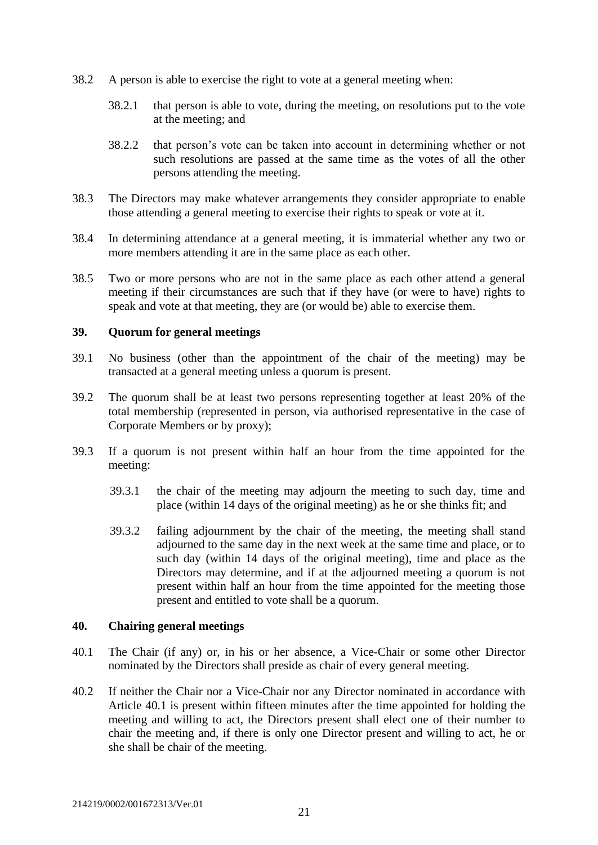- 38.2 A person is able to exercise the right to vote at a general meeting when:
	- 38.2.1 that person is able to vote, during the meeting, on resolutions put to the vote at the meeting; and
	- 38.2.2 that person's vote can be taken into account in determining whether or not such resolutions are passed at the same time as the votes of all the other persons attending the meeting.
- 38.3 The Directors may make whatever arrangements they consider appropriate to enable those attending a general meeting to exercise their rights to speak or vote at it.
- <span id="page-21-2"></span>38.4 In determining attendance at a general meeting, it is immaterial whether any two or more members attending it are in the same place as each other.
- 38.5 Two or more persons who are not in the same place as each other attend a general meeting if their circumstances are such that if they have (or were to have) rights to speak and vote at that meeting, they are (or would be) able to exercise them.

#### <span id="page-21-0"></span>**39. Quorum for general meetings**

- 39.1 No business (other than the appointment of the chair of the meeting) may be transacted at a general meeting unless a quorum is present.
- 39.2 The quorum shall be at least two persons representing together at least 20% of the total membership (represented in person, via authorised representative in the case of Corporate Members or by proxy);
- 39.3 If a quorum is not present within half an hour from the time appointed for the meeting:
	- 39.3.1 the chair of the meeting may adjourn the meeting to such day, time and place (within 14 days of the original meeting) as he or she thinks fit; and
	- 39.3.2 failing adjournment by the chair of the meeting, the meeting shall stand adjourned to the same day in the next week at the same time and place, or to such day (within 14 days of the original meeting), time and place as the Directors may determine, and if at the adjourned meeting a quorum is not present within half an hour from the time appointed for the meeting those present and entitled to vote shall be a quorum.

#### <span id="page-21-1"></span>**40. Chairing general meetings**

- 40.1 The Chair (if any) or, in his or her absence, a Vice-Chair or some other Director nominated by the Directors shall preside as chair of every general meeting.
- 40.2 If neither the Chair nor a Vice-Chair nor any Director nominated in accordance with Article 40.1 is present within fifteen minutes after the time appointed for holding the meeting and willing to act, the Directors present shall elect one of their number to chair the meeting and, if there is only one Director present and willing to act, he or she shall be chair of the meeting.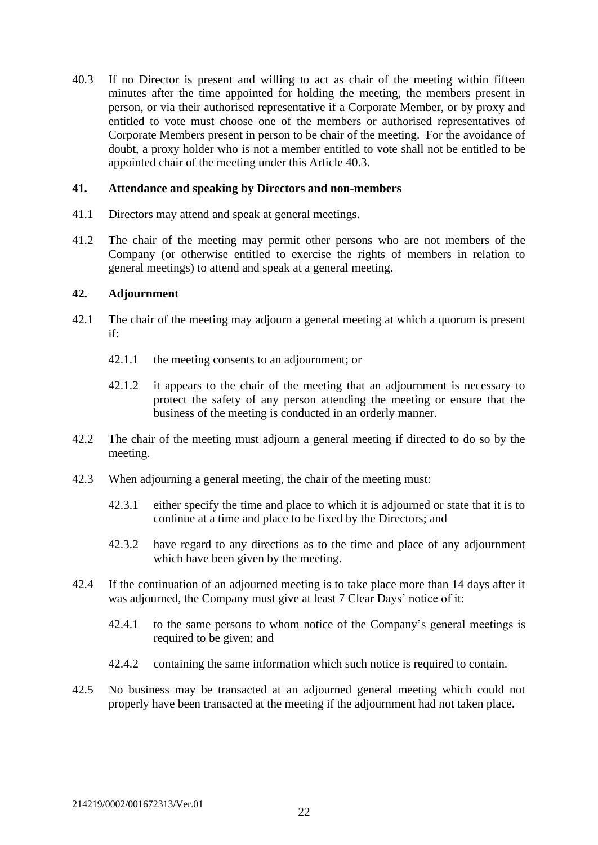40.3 If no Director is present and willing to act as chair of the meeting within fifteen minutes after the time appointed for holding the meeting, the members present in person, or via their authorised representative if a Corporate Member, or by proxy and entitled to vote must choose one of the members or authorised representatives of Corporate Members present in person to be chair of the meeting. For the avoidance of doubt, a proxy holder who is not a member entitled to vote shall not be entitled to be appointed chair of the meeting under this Article 40.3.

### <span id="page-22-0"></span>**41. Attendance and speaking by Directors and non-members**

- 41.1 Directors may attend and speak at general meetings.
- 41.2 The chair of the meeting may permit other persons who are not members of the Company (or otherwise entitled to exercise the rights of members in relation to general meetings) to attend and speak at a general meeting.

### <span id="page-22-1"></span>**42. Adjournment**

- 42.1 The chair of the meeting may adjourn a general meeting at which a quorum is present if:
	- 42.1.1 the meeting consents to an adjournment; or
	- 42.1.2 it appears to the chair of the meeting that an adjournment is necessary to protect the safety of any person attending the meeting or ensure that the business of the meeting is conducted in an orderly manner.
- 42.2 The chair of the meeting must adjourn a general meeting if directed to do so by the meeting.
- 42.3 When adjourning a general meeting, the chair of the meeting must:
	- 42.3.1 either specify the time and place to which it is adjourned or state that it is to continue at a time and place to be fixed by the Directors; and
	- 42.3.2 have regard to any directions as to the time and place of any adjournment which have been given by the meeting.
- 42.4 If the continuation of an adjourned meeting is to take place more than 14 days after it was adjourned, the Company must give at least 7 Clear Days' notice of it:
	- 42.4.1 to the same persons to whom notice of the Company's general meetings is required to be given; and
	- 42.4.2 containing the same information which such notice is required to contain.
- 42.5 No business may be transacted at an adjourned general meeting which could not properly have been transacted at the meeting if the adjournment had not taken place.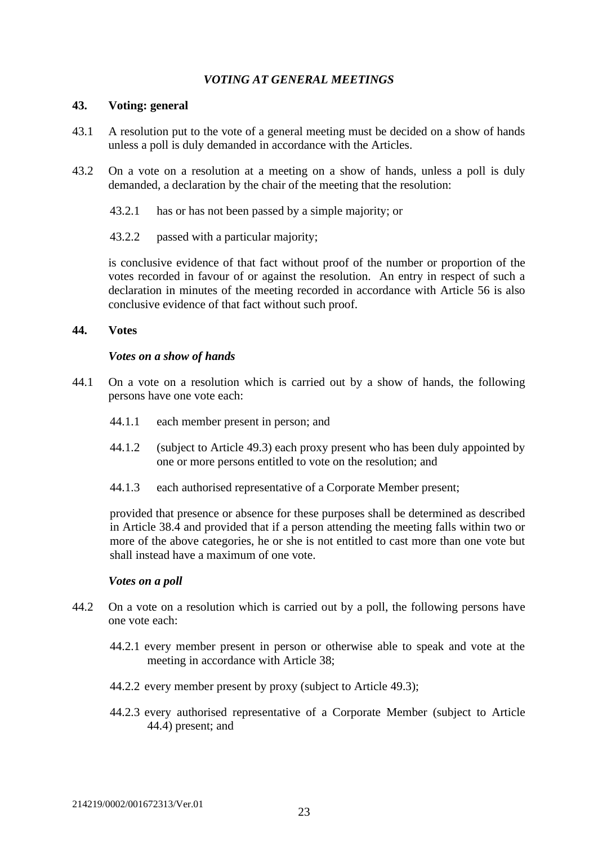### *VOTING AT GENERAL MEETINGS*

#### <span id="page-23-1"></span><span id="page-23-0"></span>**43. Voting: general**

- 43.1 A resolution put to the vote of a general meeting must be decided on a show of hands unless a poll is duly demanded in accordance with the Articles.
- 43.2 On a vote on a resolution at a meeting on a show of hands, unless a poll is duly demanded, a declaration by the chair of the meeting that the resolution:
	- 43.2.1 has or has not been passed by a simple majority; or
	- 43.2.2 passed with a particular majority;

is conclusive evidence of that fact without proof of the number or proportion of the votes recorded in favour of or against the resolution. An entry in respect of such a declaration in minutes of the meeting recorded in accordance with Article 56 is also conclusive evidence of that fact without such proof.

#### <span id="page-23-2"></span>**44. Votes**

### *Votes on a show of hands*

- 44.1 On a vote on a resolution which is carried out by a show of hands, the following persons have one vote each:
	- 44.1.1 each member present in person; and
	- 44.1.2 (subject to Article 49.3) each proxy present who has been duly appointed by one or more persons entitled to vote on the resolution; and
	- 44.1.3 each authorised representative of a Corporate Member present;

provided that presence or absence for these purposes shall be determined as described in Article [38.4](#page-21-2) and provided that if a person attending the meeting falls within two or more of the above categories, he or she is not entitled to cast more than one vote but shall instead have a maximum of one vote.

#### *Votes on a poll*

- 44.2 On a vote on a resolution which is carried out by a poll, the following persons have one vote each:
	- 44.2.1 every member present in person or otherwise able to speak and vote at the meeting in accordance with Article 38;
	- 44.2.2 every member present by proxy (subject to Article 49.3);
	- 44.2.3 every authorised representative of a Corporate Member (subject to Article 44.4) present; and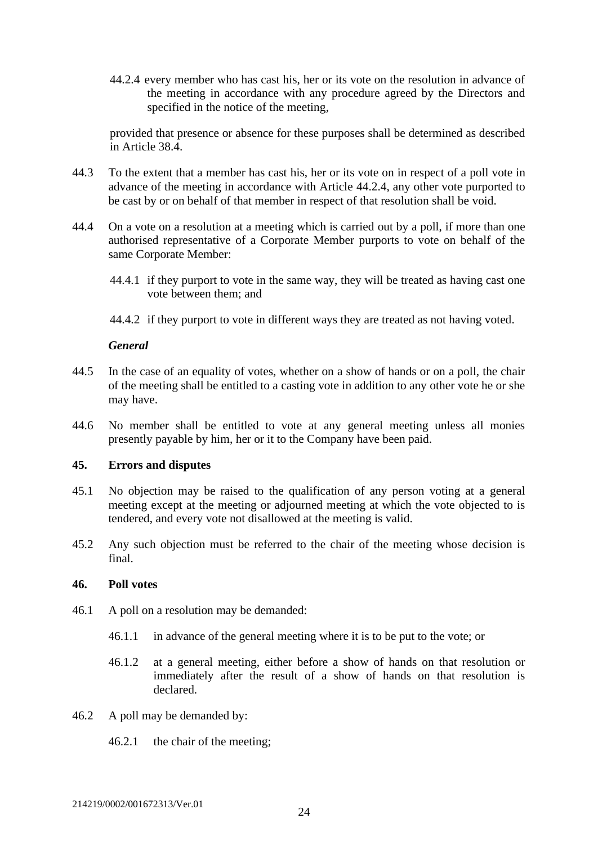44.2.4 every member who has cast his, her or its vote on the resolution in advance of the meeting in accordance with any procedure agreed by the Directors and specified in the notice of the meeting,

provided that presence or absence for these purposes shall be determined as described in Article [38.4.](#page-21-2)

- 44.3 To the extent that a member has cast his, her or its vote on in respect of a poll vote in advance of the meeting in accordance with Article 44.2.4, any other vote purported to be cast by or on behalf of that member in respect of that resolution shall be void.
- 44.4 On a vote on a resolution at a meeting which is carried out by a poll, if more than one authorised representative of a Corporate Member purports to vote on behalf of the same Corporate Member:
	- 44.4.1 if they purport to vote in the same way, they will be treated as having cast one vote between them; and
	- 44.4.2 if they purport to vote in different ways they are treated as not having voted.

#### *General*

- 44.5 In the case of an equality of votes, whether on a show of hands or on a poll, the chair of the meeting shall be entitled to a casting vote in addition to any other vote he or she may have.
- 44.6 No member shall be entitled to vote at any general meeting unless all monies presently payable by him, her or it to the Company have been paid.

#### <span id="page-24-0"></span>**45. Errors and disputes**

- 45.1 No objection may be raised to the qualification of any person voting at a general meeting except at the meeting or adjourned meeting at which the vote objected to is tendered, and every vote not disallowed at the meeting is valid.
- 45.2 Any such objection must be referred to the chair of the meeting whose decision is final.

#### <span id="page-24-1"></span>**46. Poll votes**

- 46.1 A poll on a resolution may be demanded:
	- 46.1.1 in advance of the general meeting where it is to be put to the vote; or
	- 46.1.2 at a general meeting, either before a show of hands on that resolution or immediately after the result of a show of hands on that resolution is declared.
- 46.2 A poll may be demanded by:
	- 46.2.1 the chair of the meeting;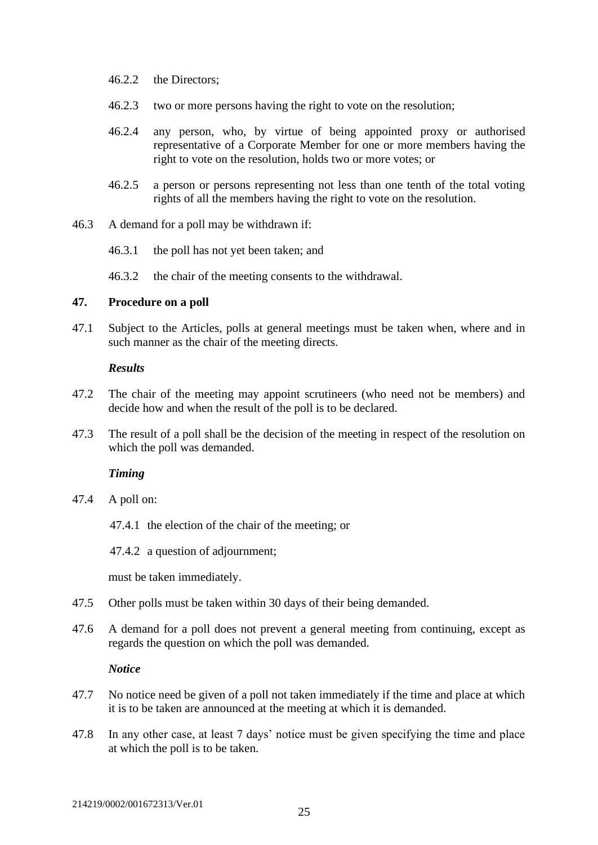- 46.2.2 the Directors;
- 46.2.3 two or more persons having the right to vote on the resolution;
- 46.2.4 any person, who, by virtue of being appointed proxy or authorised representative of a Corporate Member for one or more members having the right to vote on the resolution, holds two or more votes; or
- 46.2.5 a person or persons representing not less than one tenth of the total voting rights of all the members having the right to vote on the resolution.
- 46.3 A demand for a poll may be withdrawn if:
	- 46.3.1 the poll has not yet been taken; and

46.3.2 the chair of the meeting consents to the withdrawal.

#### <span id="page-25-0"></span>**47. Procedure on a poll**

47.1 Subject to the Articles, polls at general meetings must be taken when, where and in such manner as the chair of the meeting directs.

#### *Results*

- 47.2 The chair of the meeting may appoint scrutineers (who need not be members) and decide how and when the result of the poll is to be declared.
- 47.3 The result of a poll shall be the decision of the meeting in respect of the resolution on which the poll was demanded.

### *Timing*

- 47.4 A poll on:
	- 47.4.1 the election of the chair of the meeting; or

47.4.2 a question of adjournment;

must be taken immediately.

- 47.5 Other polls must be taken within 30 days of their being demanded.
- 47.6 A demand for a poll does not prevent a general meeting from continuing, except as regards the question on which the poll was demanded.

#### *Notice*

- 47.7 No notice need be given of a poll not taken immediately if the time and place at which it is to be taken are announced at the meeting at which it is demanded.
- 47.8 In any other case, at least 7 days' notice must be given specifying the time and place at which the poll is to be taken.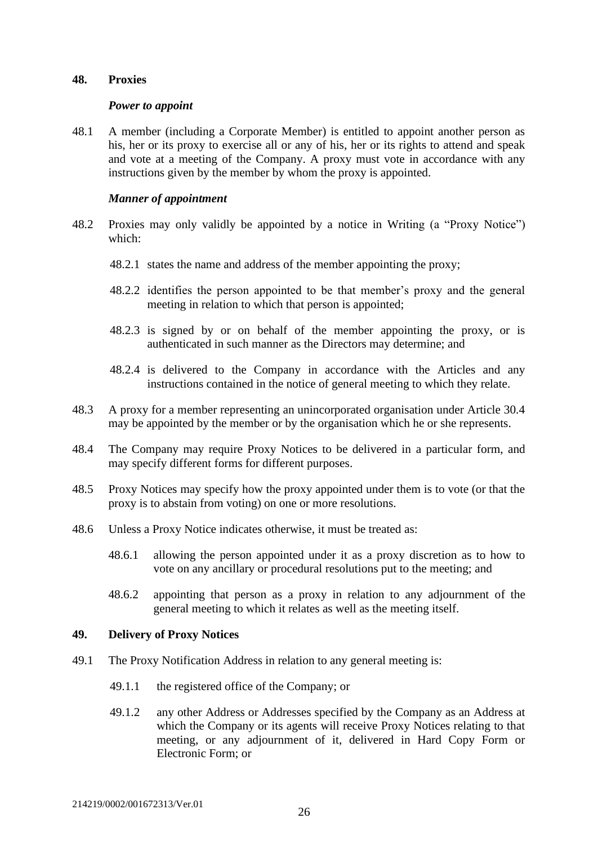### <span id="page-26-0"></span>**48. Proxies**

#### *Power to appoint*

48.1 A member (including a Corporate Member) is entitled to appoint another person as his, her or its proxy to exercise all or any of his, her or its rights to attend and speak and vote at a meeting of the Company. A proxy must vote in accordance with any instructions given by the member by whom the proxy is appointed.

#### *Manner of appointment*

- 48.2 Proxies may only validly be appointed by a notice in Writing (a "Proxy Notice") which:
	- 48.2.1 states the name and address of the member appointing the proxy;
	- 48.2.2 identifies the person appointed to be that member's proxy and the general meeting in relation to which that person is appointed;
	- 48.2.3 is signed by or on behalf of the member appointing the proxy, or is authenticated in such manner as the Directors may determine; and
	- 48.2.4 is delivered to the Company in accordance with the Articles and any instructions contained in the notice of general meeting to which they relate.
- 48.3 A proxy for a member representing an unincorporated organisation under Article 30.4 may be appointed by the member or by the organisation which he or she represents.
- 48.4 The Company may require Proxy Notices to be delivered in a particular form, and may specify different forms for different purposes.
- 48.5 Proxy Notices may specify how the proxy appointed under them is to vote (or that the proxy is to abstain from voting) on one or more resolutions.
- 48.6 Unless a Proxy Notice indicates otherwise, it must be treated as:
	- 48.6.1 allowing the person appointed under it as a proxy discretion as to how to vote on any ancillary or procedural resolutions put to the meeting; and
	- 48.6.2 appointing that person as a proxy in relation to any adjournment of the general meeting to which it relates as well as the meeting itself.

#### <span id="page-26-1"></span>**49. Delivery of Proxy Notices**

- 49.1 The Proxy Notification Address in relation to any general meeting is:
	- 49.1.1 the registered office of the Company; or
	- 49.1.2 any other Address or Addresses specified by the Company as an Address at which the Company or its agents will receive Proxy Notices relating to that meeting, or any adjournment of it, delivered in Hard Copy Form or Electronic Form; or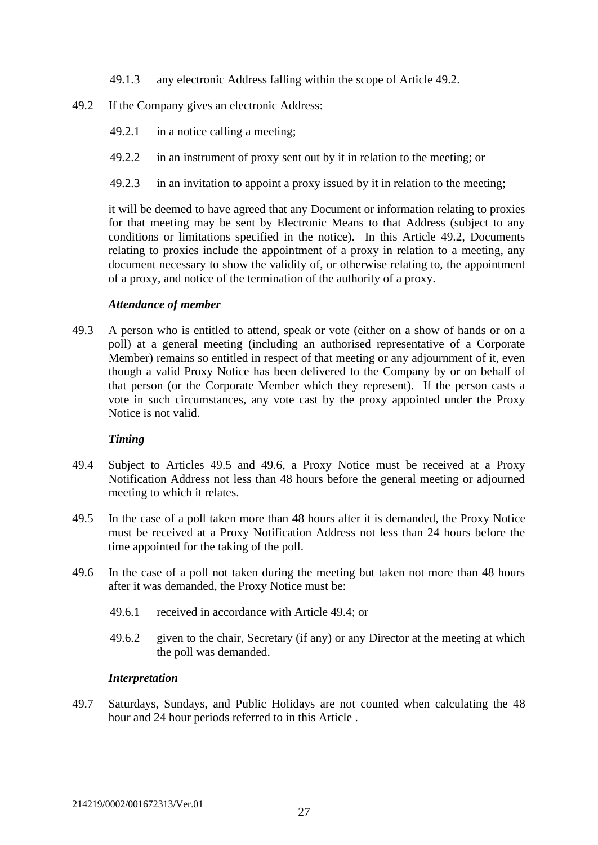- 49.1.3 any electronic Address falling within the scope of Article 49.2.
- 49.2 If the Company gives an electronic Address:
	- 49.2.1 in a notice calling a meeting;
	- 49.2.2 in an instrument of proxy sent out by it in relation to the meeting; or
	- 49.2.3 in an invitation to appoint a proxy issued by it in relation to the meeting;

it will be deemed to have agreed that any Document or information relating to proxies for that meeting may be sent by Electronic Means to that Address (subject to any conditions or limitations specified in the notice). In this Article 49.2, Documents relating to proxies include the appointment of a proxy in relation to a meeting, any document necessary to show the validity of, or otherwise relating to, the appointment of a proxy, and notice of the termination of the authority of a proxy.

#### *Attendance of member*

49.3 A person who is entitled to attend, speak or vote (either on a show of hands or on a poll) at a general meeting (including an authorised representative of a Corporate Member) remains so entitled in respect of that meeting or any adjournment of it, even though a valid Proxy Notice has been delivered to the Company by or on behalf of that person (or the Corporate Member which they represent). If the person casts a vote in such circumstances, any vote cast by the proxy appointed under the Proxy Notice is not valid.

#### *Timing*

- 49.4 Subject to Articles 49.5 and 49.6, a Proxy Notice must be received at a Proxy Notification Address not less than 48 hours before the general meeting or adjourned meeting to which it relates.
- 49.5 In the case of a poll taken more than 48 hours after it is demanded, the Proxy Notice must be received at a Proxy Notification Address not less than 24 hours before the time appointed for the taking of the poll.
- 49.6 In the case of a poll not taken during the meeting but taken not more than 48 hours after it was demanded, the Proxy Notice must be:
	- 49.6.1 received in accordance with Article 49.4; or
	- 49.6.2 given to the chair, Secretary (if any) or any Director at the meeting at which the poll was demanded.

#### *Interpretation*

49.7 Saturdays, Sundays, and Public Holidays are not counted when calculating the 48 hour and 24 hour periods referred to in this Article .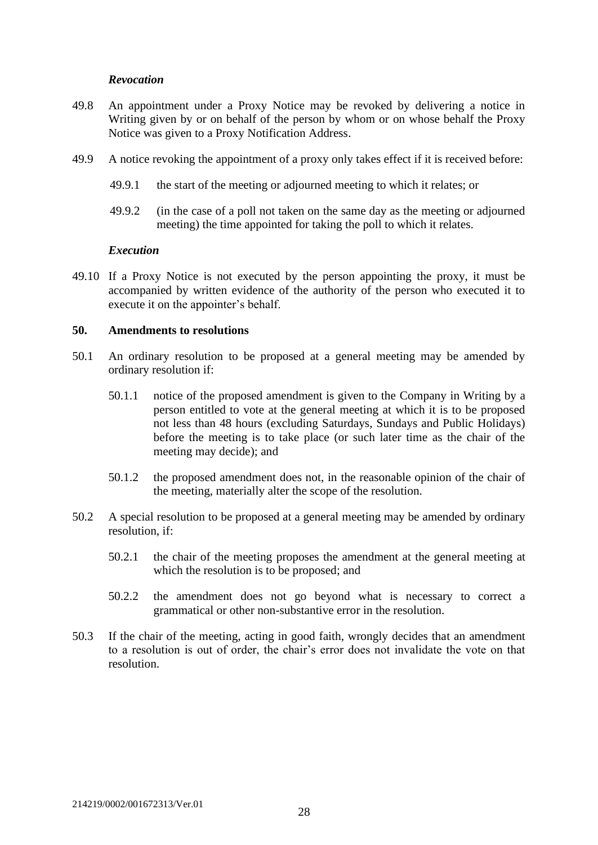#### *Revocation*

- 49.8 An appointment under a Proxy Notice may be revoked by delivering a notice in Writing given by or on behalf of the person by whom or on whose behalf the Proxy Notice was given to a Proxy Notification Address.
- 49.9 A notice revoking the appointment of a proxy only takes effect if it is received before:
	- 49.9.1 the start of the meeting or adjourned meeting to which it relates; or
	- 49.9.2 (in the case of a poll not taken on the same day as the meeting or adjourned meeting) the time appointed for taking the poll to which it relates.

#### *Execution*

49.10 If a Proxy Notice is not executed by the person appointing the proxy, it must be accompanied by written evidence of the authority of the person who executed it to execute it on the appointer's behalf.

#### <span id="page-28-0"></span>**50. Amendments to resolutions**

- 50.1 An ordinary resolution to be proposed at a general meeting may be amended by ordinary resolution if:
	- 50.1.1 notice of the proposed amendment is given to the Company in Writing by a person entitled to vote at the general meeting at which it is to be proposed not less than 48 hours (excluding Saturdays, Sundays and Public Holidays) before the meeting is to take place (or such later time as the chair of the meeting may decide); and
	- 50.1.2 the proposed amendment does not, in the reasonable opinion of the chair of the meeting, materially alter the scope of the resolution.
- 50.2 A special resolution to be proposed at a general meeting may be amended by ordinary resolution, if:
	- 50.2.1 the chair of the meeting proposes the amendment at the general meeting at which the resolution is to be proposed; and
	- 50.2.2 the amendment does not go beyond what is necessary to correct a grammatical or other non-substantive error in the resolution.
- 50.3 If the chair of the meeting, acting in good faith, wrongly decides that an amendment to a resolution is out of order, the chair's error does not invalidate the vote on that resolution.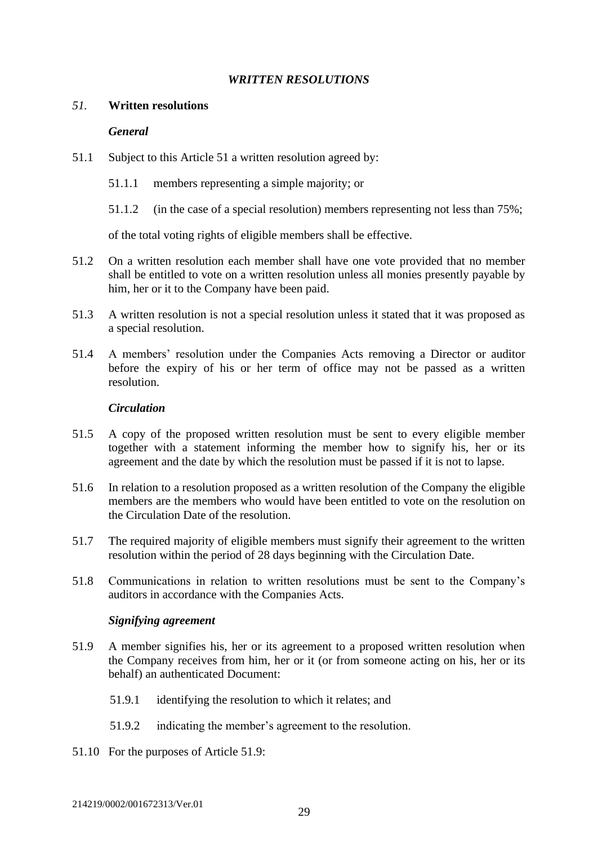### *WRITTEN RESOLUTIONS*

#### <span id="page-29-1"></span><span id="page-29-0"></span>*51.* **Written resolutions**

### *General*

- 51.1 Subject to this Article 51 a written resolution agreed by:
	- 51.1.1 members representing a simple majority; or
	- 51.1.2 (in the case of a special resolution) members representing not less than 75%;

of the total voting rights of eligible members shall be effective.

- 51.2 On a written resolution each member shall have one vote provided that no member shall be entitled to vote on a written resolution unless all monies presently payable by him, her or it to the Company have been paid.
- 51.3 A written resolution is not a special resolution unless it stated that it was proposed as a special resolution.
- 51.4 A members' resolution under the Companies Acts removing a Director or auditor before the expiry of his or her term of office may not be passed as a written resolution.

### *Circulation*

- 51.5 A copy of the proposed written resolution must be sent to every eligible member together with a statement informing the member how to signify his, her or its agreement and the date by which the resolution must be passed if it is not to lapse.
- 51.6 In relation to a resolution proposed as a written resolution of the Company the eligible members are the members who would have been entitled to vote on the resolution on the Circulation Date of the resolution.
- 51.7 The required majority of eligible members must signify their agreement to the written resolution within the period of 28 days beginning with the Circulation Date.
- 51.8 Communications in relation to written resolutions must be sent to the Company's auditors in accordance with the Companies Acts.

### *Signifying agreement*

- 51.9 A member signifies his, her or its agreement to a proposed written resolution when the Company receives from him, her or it (or from someone acting on his, her or its behalf) an authenticated Document:
	- 51.9.1 identifying the resolution to which it relates; and
	- 51.9.2 indicating the member's agreement to the resolution.
- 51.10 For the purposes of Article 51.9: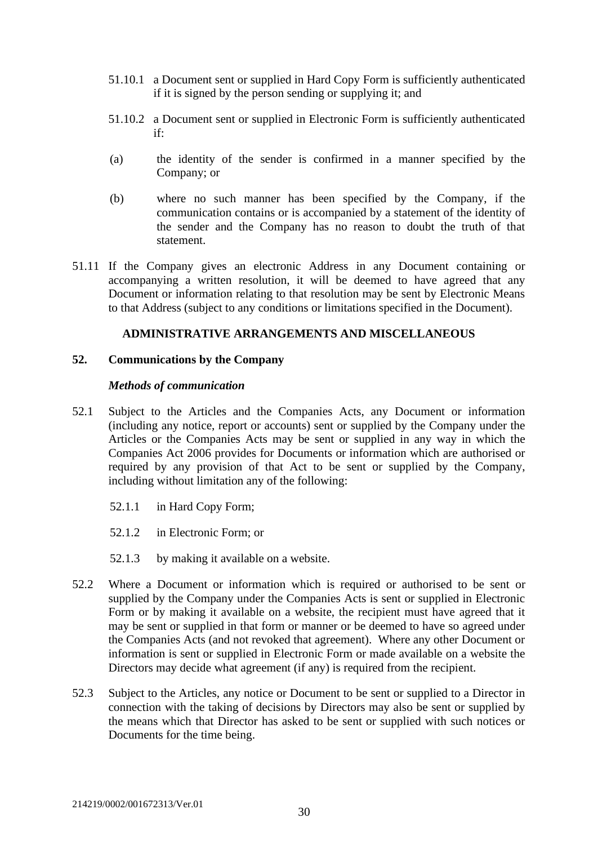- 51.10.1 a Document sent or supplied in Hard Copy Form is sufficiently authenticated if it is signed by the person sending or supplying it; and
- 51.10.2 a Document sent or supplied in Electronic Form is sufficiently authenticated if:
- (a) the identity of the sender is confirmed in a manner specified by the Company; or
- (b) where no such manner has been specified by the Company, if the communication contains or is accompanied by a statement of the identity of the sender and the Company has no reason to doubt the truth of that statement.
- 51.11 If the Company gives an electronic Address in any Document containing or accompanying a written resolution, it will be deemed to have agreed that any Document or information relating to that resolution may be sent by Electronic Means to that Address (subject to any conditions or limitations specified in the Document).

### **ADMINISTRATIVE ARRANGEMENTS AND MISCELLANEOUS**

#### <span id="page-30-1"></span><span id="page-30-0"></span>**52. Communications by the Company**

#### *Methods of communication*

- 52.1 Subject to the Articles and the Companies Acts, any Document or information (including any notice, report or accounts) sent or supplied by the Company under the Articles or the Companies Acts may be sent or supplied in any way in which the Companies Act 2006 provides for Documents or information which are authorised or required by any provision of that Act to be sent or supplied by the Company, including without limitation any of the following:
	- 52.1.1 in Hard Copy Form;
	- 52.1.2 in Electronic Form; or
	- 52.1.3 by making it available on a website.
- 52.2 Where a Document or information which is required or authorised to be sent or supplied by the Company under the Companies Acts is sent or supplied in Electronic Form or by making it available on a website, the recipient must have agreed that it may be sent or supplied in that form or manner or be deemed to have so agreed under the Companies Acts (and not revoked that agreement). Where any other Document or information is sent or supplied in Electronic Form or made available on a website the Directors may decide what agreement (if any) is required from the recipient.
- 52.3 Subject to the Articles, any notice or Document to be sent or supplied to a Director in connection with the taking of decisions by Directors may also be sent or supplied by the means which that Director has asked to be sent or supplied with such notices or Documents for the time being.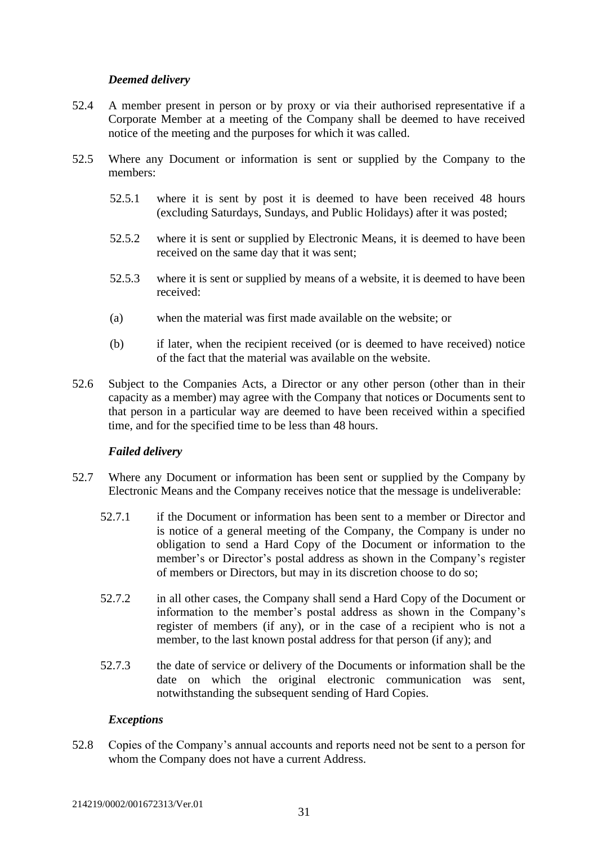### *Deemed delivery*

- 52.4 A member present in person or by proxy or via their authorised representative if a Corporate Member at a meeting of the Company shall be deemed to have received notice of the meeting and the purposes for which it was called.
- 52.5 Where any Document or information is sent or supplied by the Company to the members:
	- 52.5.1 where it is sent by post it is deemed to have been received 48 hours (excluding Saturdays, Sundays, and Public Holidays) after it was posted;
	- 52.5.2 where it is sent or supplied by Electronic Means, it is deemed to have been received on the same day that it was sent;
	- 52.5.3 where it is sent or supplied by means of a website, it is deemed to have been received:
	- (a) when the material was first made available on the website; or
	- (b) if later, when the recipient received (or is deemed to have received) notice of the fact that the material was available on the website.
- 52.6 Subject to the Companies Acts, a Director or any other person (other than in their capacity as a member) may agree with the Company that notices or Documents sent to that person in a particular way are deemed to have been received within a specified time, and for the specified time to be less than 48 hours.

### *Failed delivery*

- 52.7 Where any Document or information has been sent or supplied by the Company by Electronic Means and the Company receives notice that the message is undeliverable:
	- 52.7.1 if the Document or information has been sent to a member or Director and is notice of a general meeting of the Company, the Company is under no obligation to send a Hard Copy of the Document or information to the member's or Director's postal address as shown in the Company's register of members or Directors, but may in its discretion choose to do so;
	- 52.7.2 in all other cases, the Company shall send a Hard Copy of the Document or information to the member's postal address as shown in the Company's register of members (if any), or in the case of a recipient who is not a member, to the last known postal address for that person (if any); and
	- 52.7.3 the date of service or delivery of the Documents or information shall be the date on which the original electronic communication was sent, notwithstanding the subsequent sending of Hard Copies.

### *Exceptions*

52.8 Copies of the Company's annual accounts and reports need not be sent to a person for whom the Company does not have a current Address.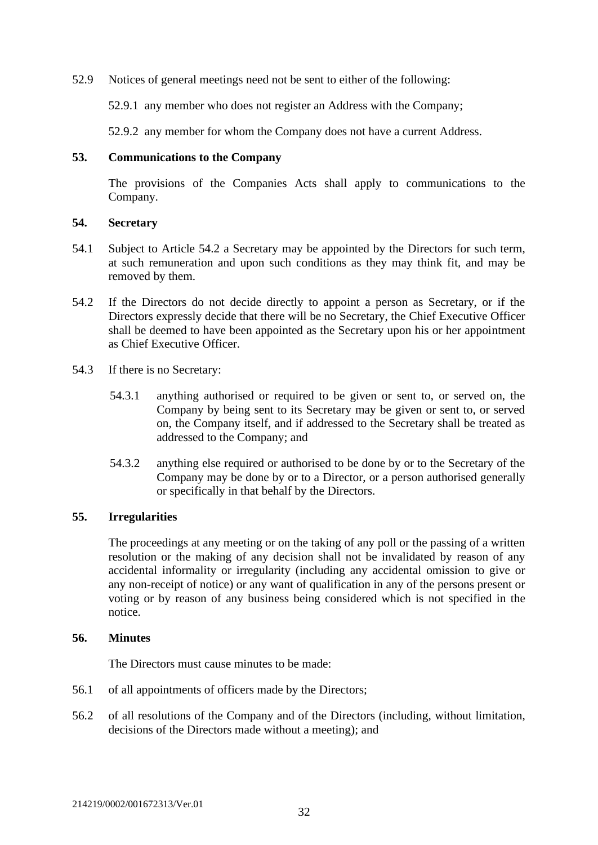52.9 Notices of general meetings need not be sent to either of the following:

52.9.1 any member who does not register an Address with the Company;

52.9.2 any member for whom the Company does not have a current Address.

### <span id="page-32-0"></span>**53. Communications to the Company**

The provisions of the Companies Acts shall apply to communications to the Company.

#### <span id="page-32-1"></span>**54. Secretary**

- 54.1 Subject to Article 54.2 a Secretary may be appointed by the Directors for such term, at such remuneration and upon such conditions as they may think fit, and may be removed by them.
- 54.2 If the Directors do not decide directly to appoint a person as Secretary, or if the Directors expressly decide that there will be no Secretary, the Chief Executive Officer shall be deemed to have been appointed as the Secretary upon his or her appointment as Chief Executive Officer.
- 54.3 If there is no Secretary:
	- 54.3.1 anything authorised or required to be given or sent to, or served on, the Company by being sent to its Secretary may be given or sent to, or served on, the Company itself, and if addressed to the Secretary shall be treated as addressed to the Company; and
	- 54.3.2 anything else required or authorised to be done by or to the Secretary of the Company may be done by or to a Director, or a person authorised generally or specifically in that behalf by the Directors.

### <span id="page-32-2"></span>**55. Irregularities**

The proceedings at any meeting or on the taking of any poll or the passing of a written resolution or the making of any decision shall not be invalidated by reason of any accidental informality or irregularity (including any accidental omission to give or any non-receipt of notice) or any want of qualification in any of the persons present or voting or by reason of any business being considered which is not specified in the notice.

#### <span id="page-32-3"></span>**56. Minutes**

The Directors must cause minutes to be made:

- 56.1 of all appointments of officers made by the Directors;
- 56.2 of all resolutions of the Company and of the Directors (including, without limitation, decisions of the Directors made without a meeting); and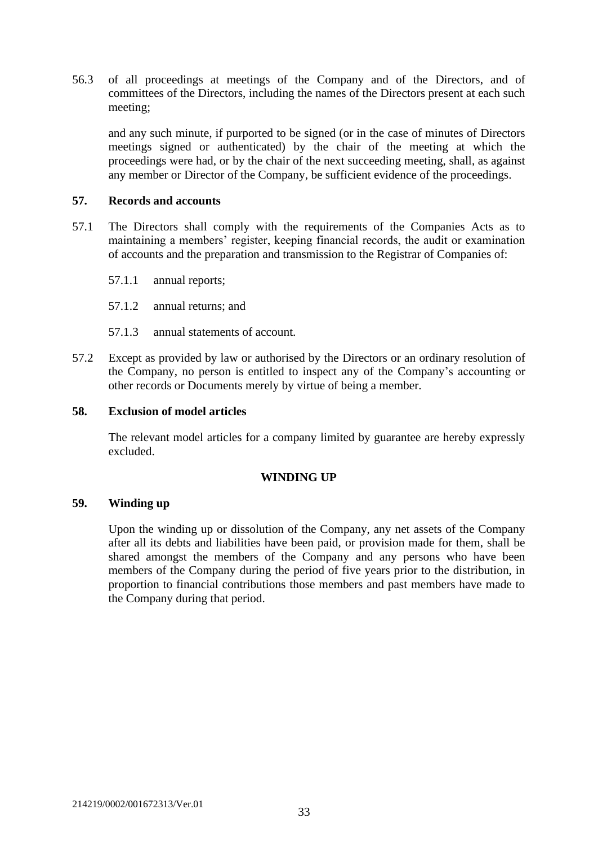56.3 of all proceedings at meetings of the Company and of the Directors, and of committees of the Directors, including the names of the Directors present at each such meeting;

and any such minute, if purported to be signed (or in the case of minutes of Directors meetings signed or authenticated) by the chair of the meeting at which the proceedings were had, or by the chair of the next succeeding meeting, shall, as against any member or Director of the Company, be sufficient evidence of the proceedings.

### <span id="page-33-0"></span>**57. Records and accounts**

- 57.1 The Directors shall comply with the requirements of the Companies Acts as to maintaining a members' register, keeping financial records, the audit or examination of accounts and the preparation and transmission to the Registrar of Companies of:
	- 57.1.1 annual reports;
	- 57.1.2 annual returns; and
	- 57.1.3 annual statements of account.
- 57.2 Except as provided by law or authorised by the Directors or an ordinary resolution of the Company, no person is entitled to inspect any of the Company's accounting or other records or Documents merely by virtue of being a member.

#### <span id="page-33-1"></span>**58. Exclusion of model articles**

The relevant model articles for a company limited by guarantee are hereby expressly excluded.

### **WINDING UP**

#### <span id="page-33-3"></span><span id="page-33-2"></span>**59. Winding up**

Upon the winding up or dissolution of the Company, any net assets of the Company after all its debts and liabilities have been paid, or provision made for them, shall be shared amongst the members of the Company and any persons who have been members of the Company during the period of five years prior to the distribution, in proportion to financial contributions those members and past members have made to the Company during that period.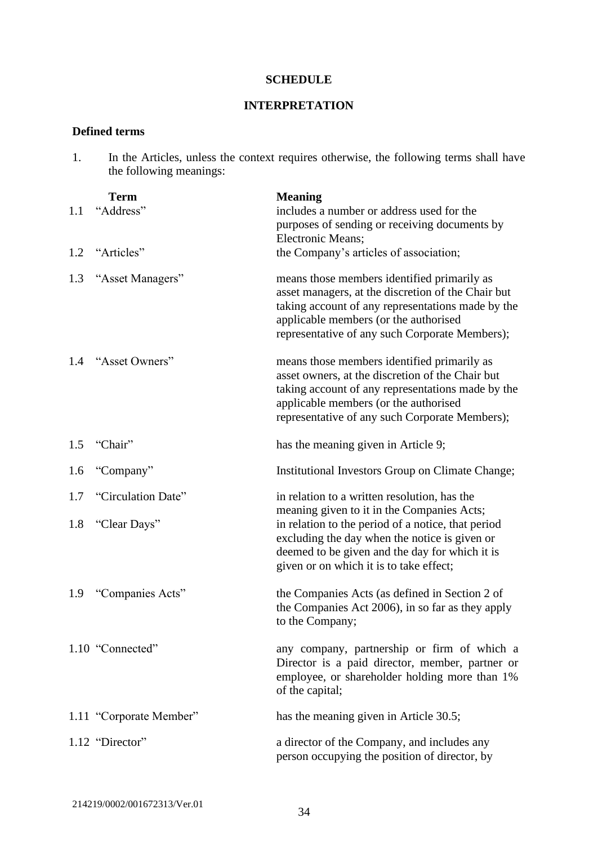#### **SCHEDULE**

# **INTERPRETATION**

### <span id="page-34-1"></span><span id="page-34-0"></span>**Defined terms**

| 1.  | the following meanings:  | In the Articles, unless the context requires otherwise, the following terms shall have                                                                                                                                                            |
|-----|--------------------------|---------------------------------------------------------------------------------------------------------------------------------------------------------------------------------------------------------------------------------------------------|
| 1.1 | <b>Term</b><br>"Address" | <b>Meaning</b><br>includes a number or address used for the<br>purposes of sending or receiving documents by<br>Electronic Means;                                                                                                                 |
| 1.2 | "Articles"               | the Company's articles of association;                                                                                                                                                                                                            |
| 1.3 | "Asset Managers"         | means those members identified primarily as<br>asset managers, at the discretion of the Chair but<br>taking account of any representations made by the<br>applicable members (or the authorised<br>representative of any such Corporate Members); |
| 1.4 | "Asset Owners"           | means those members identified primarily as<br>asset owners, at the discretion of the Chair but<br>taking account of any representations made by the<br>applicable members (or the authorised<br>representative of any such Corporate Members);   |
| 1.5 | "Chair"                  | has the meaning given in Article 9;                                                                                                                                                                                                               |
| 1.6 | "Company"                | Institutional Investors Group on Climate Change;                                                                                                                                                                                                  |
| 1.7 | "Circulation Date"       | in relation to a written resolution, has the                                                                                                                                                                                                      |
| 1.8 | "Clear Days"             | meaning given to it in the Companies Acts;<br>in relation to the period of a notice, that period<br>excluding the day when the notice is given or<br>deemed to be given and the day for which it is<br>given or on which it is to take effect;    |
| 1.9 | "Companies Acts"         | the Companies Acts (as defined in Section 2 of<br>the Companies Act 2006), in so far as they apply<br>to the Company;                                                                                                                             |
|     | 1.10 "Connected"         | any company, partnership or firm of which a<br>Director is a paid director, member, partner or<br>employee, or shareholder holding more than 1%<br>of the capital;                                                                                |
|     | 1.11 "Corporate Member"  | has the meaning given in Article 30.5;                                                                                                                                                                                                            |
|     | 1.12 "Director"          | a director of the Company, and includes any<br>person occupying the position of director, by                                                                                                                                                      |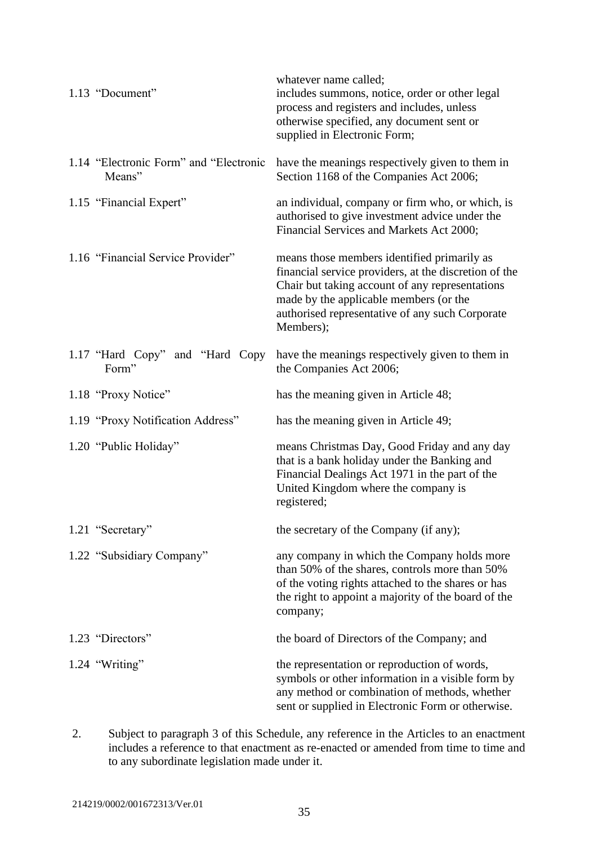| 1.13 "Document"                                  | whatever name called;<br>includes summons, notice, order or other legal<br>process and registers and includes, unless<br>otherwise specified, any document sent or<br>supplied in Electronic Form;                                                                |
|--------------------------------------------------|-------------------------------------------------------------------------------------------------------------------------------------------------------------------------------------------------------------------------------------------------------------------|
| 1.14 "Electronic Form" and "Electronic<br>Means" | have the meanings respectively given to them in<br>Section 1168 of the Companies Act 2006;                                                                                                                                                                        |
| 1.15 "Financial Expert"                          | an individual, company or firm who, or which, is<br>authorised to give investment advice under the<br>Financial Services and Markets Act 2000;                                                                                                                    |
| 1.16 "Financial Service Provider"                | means those members identified primarily as<br>financial service providers, at the discretion of the<br>Chair but taking account of any representations<br>made by the applicable members (or the<br>authorised representative of any such Corporate<br>Members); |
| 1.17 "Hard Copy" and "Hard Copy"<br>Form"        | have the meanings respectively given to them in<br>the Companies Act 2006;                                                                                                                                                                                        |
| 1.18 "Proxy Notice"                              | has the meaning given in Article 48;                                                                                                                                                                                                                              |
| 1.19 "Proxy Notification Address"                | has the meaning given in Article 49;                                                                                                                                                                                                                              |
| 1.20 "Public Holiday"                            | means Christmas Day, Good Friday and any day<br>that is a bank holiday under the Banking and<br>Financial Dealings Act 1971 in the part of the<br>United Kingdom where the company is<br>registered;                                                              |
| 1.21 "Secretary"                                 | the secretary of the Company (if any);                                                                                                                                                                                                                            |
| 1.22 "Subsidiary Company"                        | any company in which the Company holds more<br>than 50% of the shares, controls more than 50%<br>of the voting rights attached to the shares or has<br>the right to appoint a majority of the board of the<br>company;                                            |
| 1.23 "Directors"                                 | the board of Directors of the Company; and                                                                                                                                                                                                                        |
| 1.24 "Writing"                                   | the representation or reproduction of words,<br>symbols or other information in a visible form by<br>any method or combination of methods, whether<br>sent or supplied in Electronic Form or otherwise.                                                           |

2. Subject to paragraph 3 of this Schedule, any reference in the Articles to an enactment includes a reference to that enactment as re-enacted or amended from time to time and to any subordinate legislation made under it.